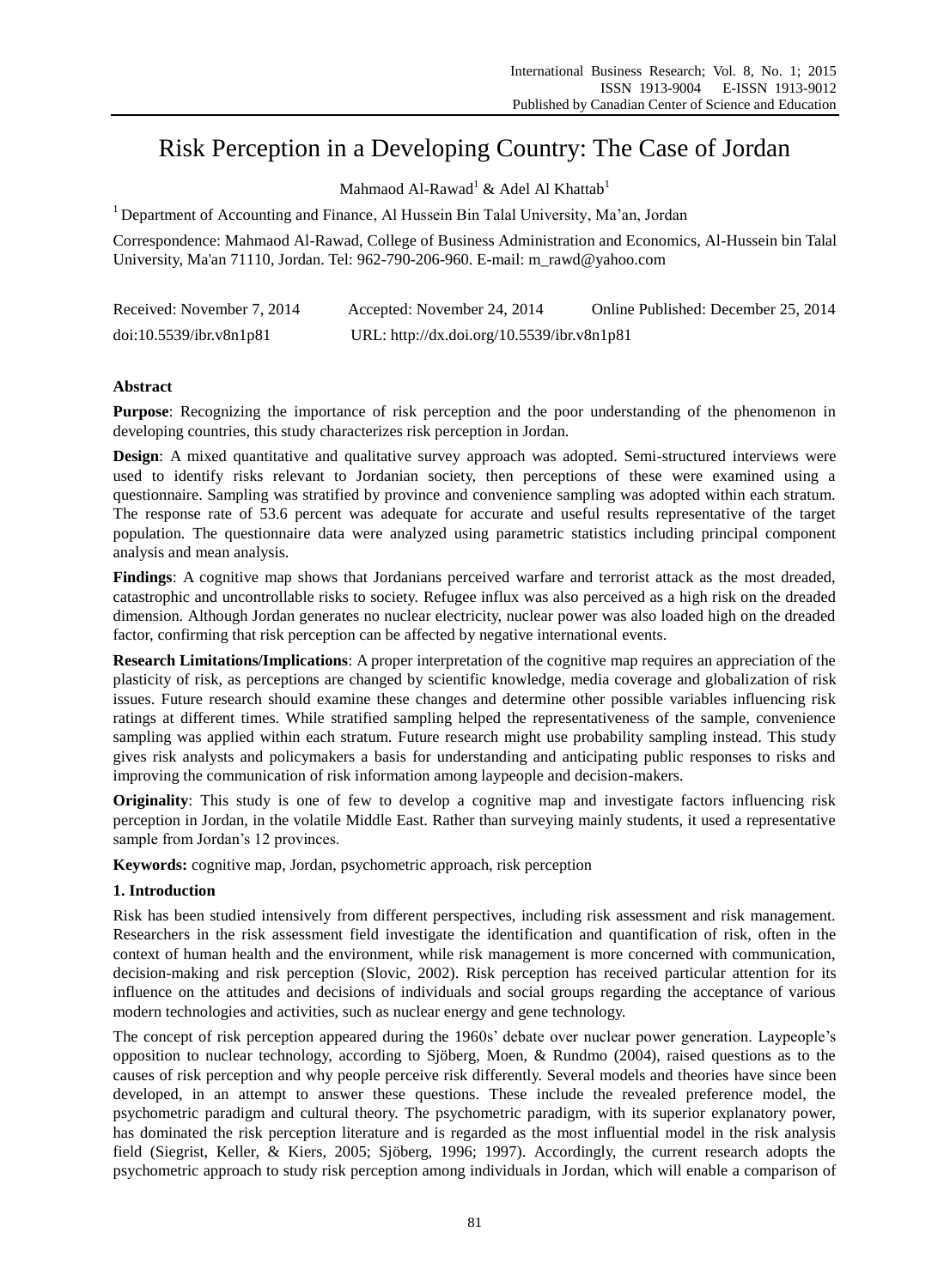# Risk Perception in a Developing Country: The Case of Jordan

Mahmaod Al-Rawad<sup>1</sup> & Adel Al Khattab<sup>1</sup>

<sup>1</sup> Department of Accounting and Finance, Al Hussein Bin Talal University, Ma'an, Jordan

Correspondence: Mahmaod Al-Rawad, College of Business Administration and Economics, Al-Hussein bin Talal University, Ma'an 71110, Jordan. Tel: 962-790-206-960. E-mail: m\_rawd@yahoo.com

| Received: November 7, 2014 | Accepted: November 24, 2014                | Online Published: December 25, 2014 |
|----------------------------|--------------------------------------------|-------------------------------------|
| doi:10.5539/ibr.v8n1p81    | URL: http://dx.doi.org/10.5539/ibr.v8n1p81 |                                     |

# **Abstract**

**Purpose**: Recognizing the importance of risk perception and the poor understanding of the phenomenon in developing countries, this study characterizes risk perception in Jordan.

**Design**: A mixed quantitative and qualitative survey approach was adopted. Semi-structured interviews were used to identify risks relevant to Jordanian society, then perceptions of these were examined using a questionnaire. Sampling was stratified by province and convenience sampling was adopted within each stratum. The response rate of 53.6 percent was adequate for accurate and useful results representative of the target population. The questionnaire data were analyzed using parametric statistics including principal component analysis and mean analysis.

**Findings**: A cognitive map shows that Jordanians perceived warfare and terrorist attack as the most dreaded, catastrophic and uncontrollable risks to society. Refugee influx was also perceived as a high risk on the dreaded dimension. Although Jordan generates no nuclear electricity, nuclear power was also loaded high on the dreaded factor, confirming that risk perception can be affected by negative international events.

**Research Limitations/Implications**: A proper interpretation of the cognitive map requires an appreciation of the plasticity of risk, as perceptions are changed by scientific knowledge, media coverage and globalization of risk issues. Future research should examine these changes and determine other possible variables influencing risk ratings at different times. While stratified sampling helped the representativeness of the sample, convenience sampling was applied within each stratum. Future research might use probability sampling instead. This study gives risk analysts and policymakers a basis for understanding and anticipating public responses to risks and improving the communication of risk information among laypeople and decision-makers.

**Originality**: This study is one of few to develop a cognitive map and investigate factors influencing risk perception in Jordan, in the volatile Middle East. Rather than surveying mainly students, it used a representative sample from Jordan's 12 provinces.

**Keywords:** cognitive map, Jordan, psychometric approach, risk perception

# **1. Introduction**

Risk has been studied intensively from different perspectives, including risk assessment and risk management. Researchers in the risk assessment field investigate the identification and quantification of risk, often in the context of human health and the environment, while risk management is more concerned with communication, decision-making and risk perception (Slovic, 2002). Risk perception has received particular attention for its influence on the attitudes and decisions of individuals and social groups regarding the acceptance of various modern technologies and activities, such as nuclear energy and gene technology.

The concept of risk perception appeared during the 1960s' debate over nuclear power generation. Laypeople's opposition to nuclear technology, according to Sjöberg, Moen, & Rundmo (2004), raised questions as to the causes of risk perception and why people perceive risk differently. Several models and theories have since been developed, in an attempt to answer these questions. These include the revealed preference model, the psychometric paradigm and cultural theory. The psychometric paradigm, with its superior explanatory power, has dominated the risk perception literature and is regarded as the most influential model in the risk analysis field (Siegrist, Keller, & Kiers, 2005; Sjöberg, 1996; 1997). Accordingly, the current research adopts the psychometric approach to study risk perception among individuals in Jordan, which will enable a comparison of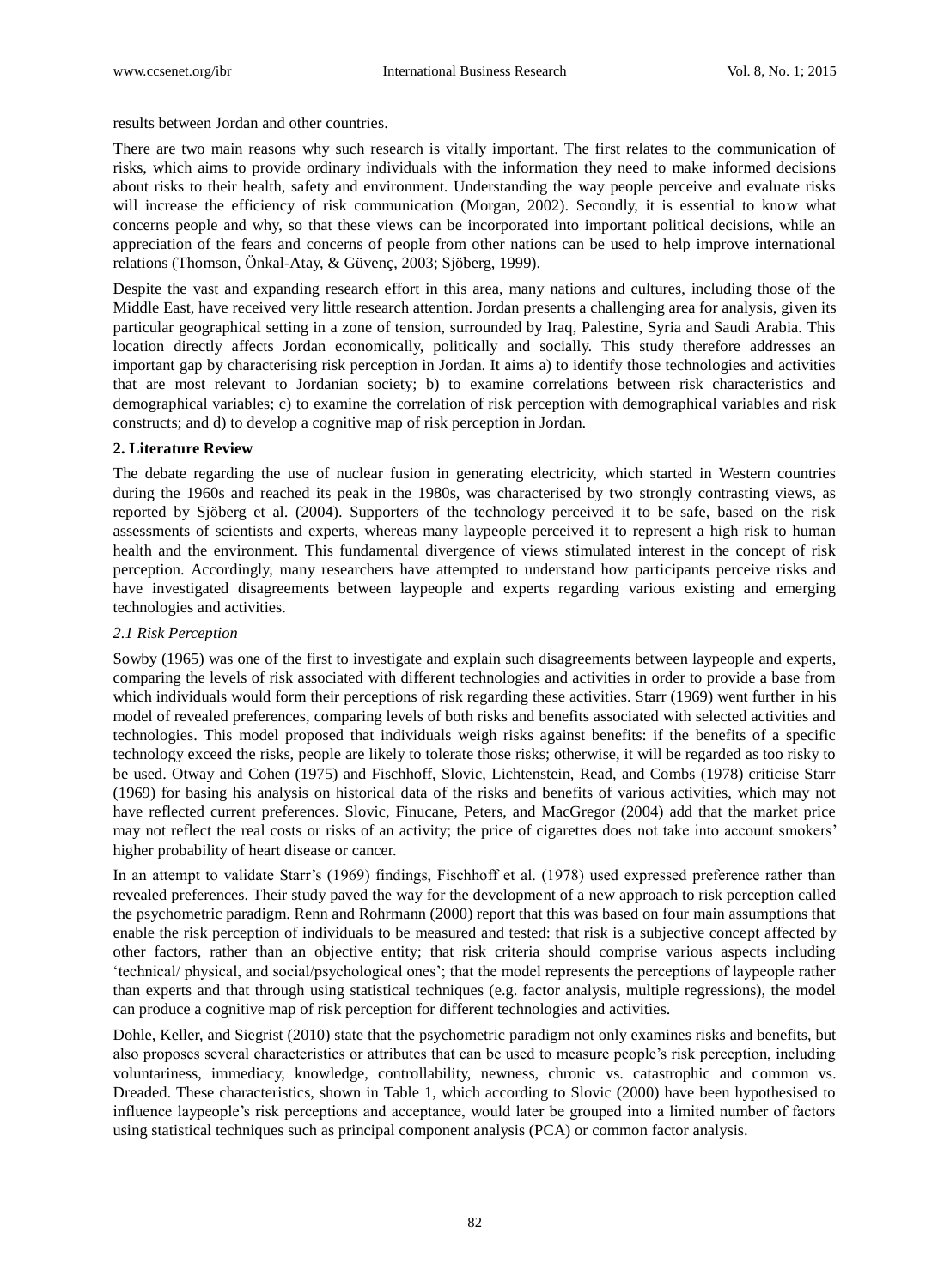results between Jordan and other countries.

There are two main reasons why such research is vitally important. The first relates to the communication of risks, which aims to provide ordinary individuals with the information they need to make informed decisions about risks to their health, safety and environment. Understanding the way people perceive and evaluate risks will increase the efficiency of risk communication (Morgan, 2002). Secondly, it is essential to know what concerns people and why, so that these views can be incorporated into important political decisions, while an appreciation of the fears and concerns of people from other nations can be used to help improve international relations (Thomson, Önkal-Atay, & Güven ç, 2003; Sjöberg, 1999).

Despite the vast and expanding research effort in this area, many nations and cultures, including those of the Middle East, have received very little research attention. Jordan presents a challenging area for analysis, given its particular geographical setting in a zone of tension, surrounded by Iraq, Palestine, Syria and Saudi Arabia. This location directly affects Jordan economically, politically and socially. This study therefore addresses an important gap by characterising risk perception in Jordan. It aims a) to identify those technologies and activities that are most relevant to Jordanian society; b) to examine correlations between risk characteristics and demographical variables; c) to examine the correlation of risk perception with demographical variables and risk constructs; and d) to develop a cognitive map of risk perception in Jordan.

## **2. Literature Review**

The debate regarding the use of nuclear fusion in generating electricity, which started in Western countries during the 1960s and reached its peak in the 1980s, was characterised by two strongly contrasting views, as reported by Sjöberg et al. (2004). Supporters of the technology perceived it to be safe, based on the risk assessments of scientists and experts, whereas many laypeople perceived it to represent a high risk to human health and the environment. This fundamental divergence of views stimulated interest in the concept of risk perception. Accordingly, many researchers have attempted to understand how participants perceive risks and have investigated disagreements between laypeople and experts regarding various existing and emerging technologies and activities.

# *2.1 Risk Perception*

Sowby (1965) was one of the first to investigate and explain such disagreements between laypeople and experts, comparing the levels of risk associated with different technologies and activities in order to provide a base from which individuals would form their perceptions of risk regarding these activities. Starr (1969) went further in his model of revealed preferences, comparing levels of both risks and benefits associated with selected activities and technologies. This model proposed that individuals weigh risks against benefits: if the benefits of a specific technology exceed the risks, people are likely to tolerate those risks; otherwise, it will be regarded as too risky to be used. Otway and Cohen (1975) and Fischhoff, Slovic, Lichtenstein, Read, and Combs (1978) criticise Starr (1969) for basing his analysis on historical data of the risks and benefits of various activities, which may not have reflected current preferences. Slovic, Finucane, Peters, and MacGregor (2004) add that the market price may not reflect the real costs or risks of an activity; the price of cigarettes does not take into account smokers' higher probability of heart disease or cancer.

In an attempt to validate Starr's (1969) findings, Fischhoff et al. (1978) used expressed preference rather than revealed preferences. Their study paved the way for the development of a new approach to risk perception called the psychometric paradigm. Renn and Rohrmann (2000) report that this was based on four main assumptions that enable the risk perception of individuals to be measured and tested: that risk is a subjective concept affected by other factors, rather than an objective entity; that risk criteria should comprise various aspects including 'technical/ physical, and social/psychological ones'; that the model represents the perceptions of laypeople rather than experts and that through using statistical techniques (e.g. factor analysis, multiple regressions), the model can produce a cognitive map of risk perception for different technologies and activities.

Dohle, Keller, and Siegrist (2010) state that the psychometric paradigm not only examines risks and benefits, but also proposes several characteristics or attributes that can be used to measure people's risk perception, including voluntariness, immediacy, knowledge, controllability, newness, chronic vs. catastrophic and common vs. Dreaded. These characteristics, shown in Table 1, which according to Slovic (2000) have been hypothesised to influence laypeople's risk perceptions and acceptance, would later be grouped into a limited number of factors using statistical techniques such as principal component analysis (PCA) or common factor analysis.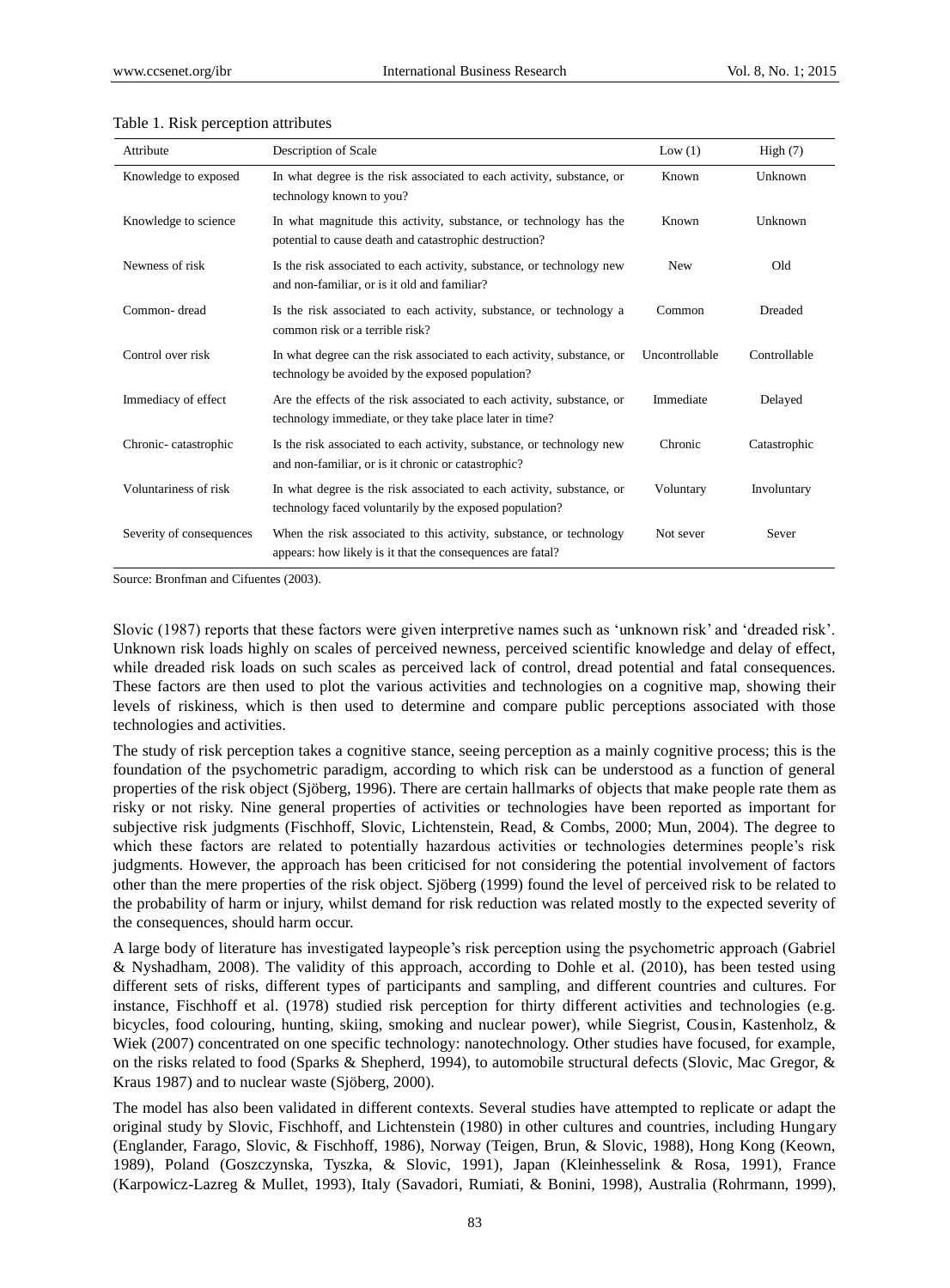| Attribute                | Description of Scale                                                                                                              | Low $(1)$      | High(7)      |
|--------------------------|-----------------------------------------------------------------------------------------------------------------------------------|----------------|--------------|
| Knowledge to exposed     | In what degree is the risk associated to each activity, substance, or<br>technology known to you?                                 | Known          | Unknown      |
| Knowledge to science     | In what magnitude this activity, substance, or technology has the<br>potential to cause death and catastrophic destruction?       | Known          | Unknown      |
| Newness of risk          | Is the risk associated to each activity, substance, or technology new<br>and non-familiar, or is it old and familiar?             | New            | Old          |
| Common-dread             | Is the risk associated to each activity, substance, or technology a<br>common risk or a terrible risk?                            | Common         | Dreaded      |
| Control over risk        | In what degree can the risk associated to each activity, substance, or<br>technology be avoided by the exposed population?        | Uncontrollable | Controllable |
| Immediacy of effect      | Are the effects of the risk associated to each activity, substance, or<br>technology immediate, or they take place later in time? | Immediate      | Delayed      |
| Chronic-catastrophic     | Is the risk associated to each activity, substance, or technology new<br>and non-familiar, or is it chronic or catastrophic?      | Chronic        | Catastrophic |
| Voluntariness of risk    | In what degree is the risk associated to each activity, substance, or<br>technology faced voluntarily by the exposed population?  | Voluntary      | Involuntary  |
| Severity of consequences | When the risk associated to this activity, substance, or technology<br>appears: how likely is it that the consequences are fatal? | Not sever      | Sever        |

#### Table 1. Risk perception attributes

Source: Bronfman and Cifuentes (2003).

Slovic (1987) reports that these factors were given interpretive names such as 'unknown risk' and 'dreaded risk'. Unknown risk loads highly on scales of perceived newness, perceived scientific knowledge and delay of effect, while dreaded risk loads on such scales as perceived lack of control, dread potential and fatal consequences. These factors are then used to plot the various activities and technologies on a cognitive map, showing their levels of riskiness, which is then used to determine and compare public perceptions associated with those technologies and activities.

The study of risk perception takes a cognitive stance, seeing perception as a mainly cognitive process; this is the foundation of the psychometric paradigm, according to which risk can be understood as a function of general properties of the risk object (Sjöberg, 1996). There are certain hallmarks of objects that make people rate them as risky or not risky. Nine general properties of activities or technologies have been reported as important for subjective risk judgments (Fischhoff, Slovic, Lichtenstein, Read, & Combs, 2000; Mun, 2004). The degree to which these factors are related to potentially hazardous activities or technologies determines people's risk judgments. However, the approach has been criticised for not considering the potential involvement of factors other than the mere properties of the risk object. Sjöberg (1999) found the level of perceived risk to be related to the probability of harm or injury, whilst demand for risk reduction was related mostly to the expected severity of the consequences, should harm occur.

A large body of literature has investigated laypeople's risk perception using the psychometric approach (Gabriel & Nyshadham, 2008). The validity of this approach, according to Dohle et al. (2010), has been tested using different sets of risks, different types of participants and sampling, and different countries and cultures. For instance, Fischhoff et al. (1978) studied risk perception for thirty different activities and technologies (e.g. bicycles, food colouring, hunting, skiing, smoking and nuclear power), while Siegrist, Cousin, Kastenholz, & Wiek (2007) concentrated on one specific technology: nanotechnology. Other studies have focused, for example, on the risks related to food (Sparks & Shepherd, 1994), to automobile structural defects (Slovic, Mac Gregor, & Kraus 1987) and to nuclear waste (Sjöberg, 2000).

The model has also been validated in different contexts. Several studies have attempted to replicate or adapt the original study by Slovic, Fischhoff, and Lichtenstein (1980) in other cultures and countries, including Hungary (Englander, Farago, Slovic, & Fischhoff, 1986), Norway (Teigen, Brun, & Slovic, 1988), Hong Kong (Keown, 1989), Poland (Goszczynska, Tyszka, & Slovic, 1991), Japan (Kleinhesselink & Rosa, 1991), France (Karpowicz-Lazreg & Mullet, 1993), Italy (Savadori, Rumiati, & Bonini, 1998), Australia (Rohrmann, 1999),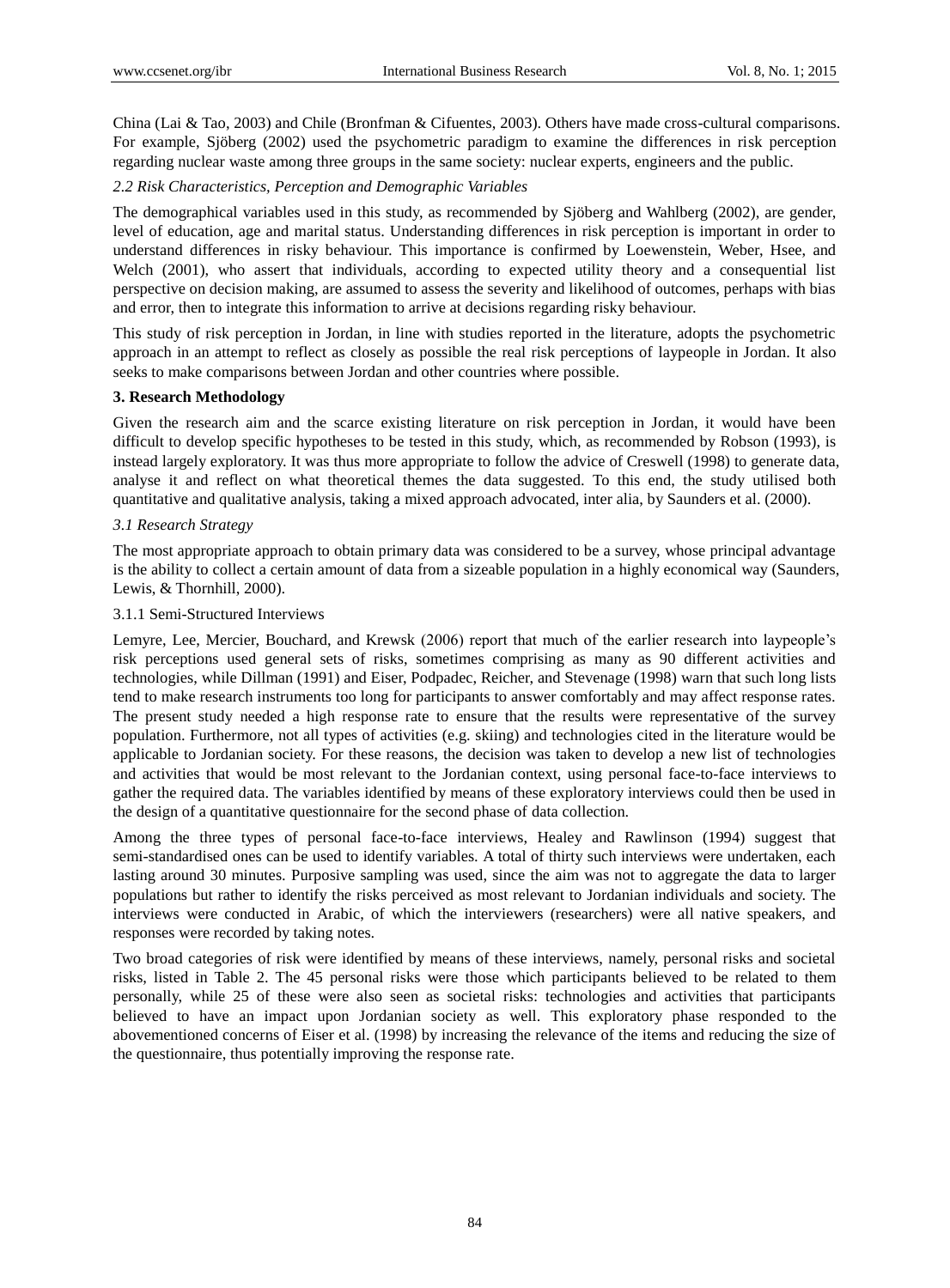China (Lai & Tao, 2003) and Chile (Bronfman & Cifuentes, 2003). Others have made cross-cultural comparisons. For example, Sjöberg (2002) used the psychometric paradigm to examine the differences in risk perception regarding nuclear waste among three groups in the same society: nuclear experts, engineers and the public.

# *2.2 Risk Characteristics, Perception and Demographic Variables*

The demographical variables used in this study, as recommended by Sjöberg and Wahlberg (2002), are gender, level of education, age and marital status. Understanding differences in risk perception is important in order to understand differences in risky behaviour. This importance is confirmed by Loewenstein, Weber, Hsee, and Welch (2001), who assert that individuals, according to expected utility theory and a consequential list perspective on decision making, are assumed to assess the severity and likelihood of outcomes, perhaps with bias and error, then to integrate this information to arrive at decisions regarding risky behaviour.

This study of risk perception in Jordan, in line with studies reported in the literature, adopts the psychometric approach in an attempt to reflect as closely as possible the real risk perceptions of laypeople in Jordan. It also seeks to make comparisons between Jordan and other countries where possible.

## **3. Research Methodology**

Given the research aim and the scarce existing literature on risk perception in Jordan, it would have been difficult to develop specific hypotheses to be tested in this study, which, as recommended by Robson (1993), is instead largely exploratory. It was thus more appropriate to follow the advice of Creswell (1998) to generate data, analyse it and reflect on what theoretical themes the data suggested. To this end, the study utilised both quantitative and qualitative analysis, taking a mixed approach advocated, inter alia, by Saunders et al. (2000).

# *3.1 Research Strategy*

The most appropriate approach to obtain primary data was considered to be a survey, whose principal advantage is the ability to collect a certain amount of data from a sizeable population in a highly economical way (Saunders, Lewis, & Thornhill, 2000).

## 3.1.1 Semi-Structured Interviews

Lemyre, Lee, Mercier, Bouchard, and Krewsk (2006) report that much of the earlier research into laypeople's risk perceptions used general sets of risks, sometimes comprising as many as 90 different activities and technologies, while Dillman (1991) and Eiser, Podpadec, Reicher, and Stevenage (1998) warn that such long lists tend to make research instruments too long for participants to answer comfortably and may affect response rates. The present study needed a high response rate to ensure that the results were representative of the survey population. Furthermore, not all types of activities (e.g. skiing) and technologies cited in the literature would be applicable to Jordanian society. For these reasons, the decision was taken to develop a new list of technologies and activities that would be most relevant to the Jordanian context, using personal face-to-face interviews to gather the required data. The variables identified by means of these exploratory interviews could then be used in the design of a quantitative questionnaire for the second phase of data collection.

Among the three types of personal face-to-face interviews, Healey and Rawlinson (1994) suggest that semi-standardised ones can be used to identify variables. A total of thirty such interviews were undertaken, each lasting around 30 minutes. Purposive sampling was used, since the aim was not to aggregate the data to larger populations but rather to identify the risks perceived as most relevant to Jordanian individuals and society. The interviews were conducted in Arabic, of which the interviewers (researchers) were all native speakers, and responses were recorded by taking notes.

Two broad categories of risk were identified by means of these interviews, namely, personal risks and societal risks, listed in Table 2. The 45 personal risks were those which participants believed to be related to them personally, while 25 of these were also seen as societal risks: technologies and activities that participants believed to have an impact upon Jordanian society as well. This exploratory phase responded to the abovementioned concerns of Eiser et al. (1998) by increasing the relevance of the items and reducing the size of the questionnaire, thus potentially improving the response rate.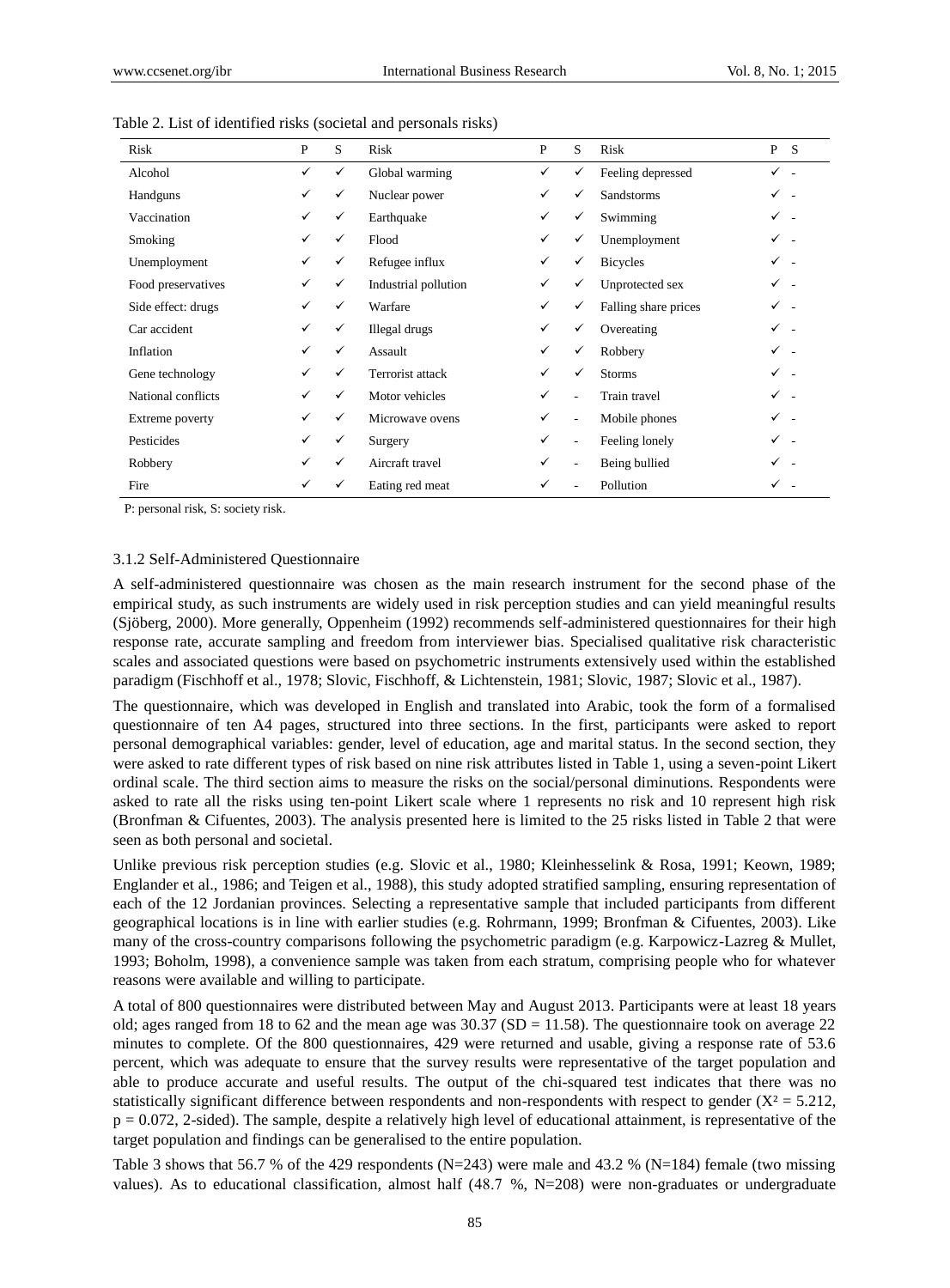| Risk               | P            | S | Risk                 | P | S              | Risk                 | P S            |  |
|--------------------|--------------|---|----------------------|---|----------------|----------------------|----------------|--|
| Alcohol            | ✓            | ✓ | Global warming       | ✓ | ✓              | Feeling depressed    | $\checkmark$ . |  |
| Handguns           | $\checkmark$ | ✓ | Nuclear power        | ✓ | ✓              | <b>Sandstorms</b>    | ✓ -            |  |
| Vaccination        | ✓            | ✓ | Earthquake           | ✓ | ✓              | Swimming             | $\checkmark$ . |  |
| Smoking            | ✓            | ✓ | Flood                | ✓ | ✓              | Unemployment         | ✓ -            |  |
| Unemployment       | ✓            | ✓ | Refugee influx       | ✓ | ✓              | <b>Bicycles</b>      | $\checkmark$ . |  |
| Food preservatives | ✓            | ✓ | Industrial pollution | ✓ | $\checkmark$   | Unprotected sex      | $\checkmark$ . |  |
| Side effect: drugs | ✓            | ✓ | Warfare              | ✓ | ✓              | Falling share prices | ✓ -            |  |
| Car accident       | $\checkmark$ | ✓ | Illegal drugs        | ✓ | ✓              | Overeating           | $\checkmark$ . |  |
| Inflation          | ✓            | ✓ | Assault              | ✓ | $\checkmark$   | Robbery              | ✓ -            |  |
| Gene technology    | ✓            | ✓ | Terrorist attack     | ✓ | $\checkmark$   | Storms               | ✓.             |  |
| National conflicts | $\checkmark$ | ✓ | Motor vehicles       | ✓ | $\overline{a}$ | Train travel         | $\checkmark$ . |  |
| Extreme poverty    | ✓            | ✓ | Microwave ovens      | ✓ | ÷,             | Mobile phones        | ✓ -            |  |
| Pesticides         | ✓            | ✓ | Surgery              | ✓ |                | Feeling lonely       | ✓ -            |  |
| Robbery            | ✓            | ✓ | Aircraft travel      | ✓ | $\overline{a}$ | Being bullied        | $\checkmark$ . |  |
| Fire               |              | ✓ | Eating red meat      |   |                | Pollution            |                |  |

Table 2. List of identified risks (societal and personals risks)

P: personal risk, S: society risk.

#### 3.1.2 Self-Administered Questionnaire

A self-administered questionnaire was chosen as the main research instrument for the second phase of the empirical study, as such instruments are widely used in risk perception studies and can yield meaningful results (Sjöberg, 2000). More generally, Oppenheim (1992) recommends self-administered questionnaires for their high response rate, accurate sampling and freedom from interviewer bias. Specialised qualitative risk characteristic scales and associated questions were based on psychometric instruments extensively used within the established paradigm (Fischhoff et al., 1978; Slovic, Fischhoff, & Lichtenstein, 1981; Slovic, 1987; Slovic et al., 1987).

The questionnaire, which was developed in English and translated into Arabic, took the form of a formalised questionnaire of ten A4 pages, structured into three sections. In the first, participants were asked to report personal demographical variables: gender, level of education, age and marital status. In the second section, they were asked to rate different types of risk based on nine risk attributes listed in Table 1, using a seven-point Likert ordinal scale. The third section aims to measure the risks on the social/personal diminutions. Respondents were asked to rate all the risks using ten-point Likert scale where 1 represents no risk and 10 represent high risk (Bronfman & Cifuentes, 2003). The analysis presented here is limited to the 25 risks listed in Table 2 that were seen as both personal and societal.

Unlike previous risk perception studies (e.g. Slovic et al., 1980; Kleinhesselink & Rosa, 1991; Keown, 1989; Englander et al., 1986; and Teigen et al., 1988), this study adopted stratified sampling, ensuring representation of each of the 12 Jordanian provinces. Selecting a representative sample that included participants from different geographical locations is in line with earlier studies (e.g. Rohrmann, 1999; Bronfman & Cifuentes, 2003). Like many of the cross-country comparisons following the psychometric paradigm (e.g. Karpowicz-Lazreg & Mullet, 1993; Boholm, 1998), a convenience sample was taken from each stratum, comprising people who for whatever reasons were available and willing to participate.

A total of 800 questionnaires were distributed between May and August 2013. Participants were at least 18 years old; ages ranged from 18 to 62 and the mean age was  $30.37$  (SD = 11.58). The questionnaire took on average 22 minutes to complete. Of the 800 questionnaires, 429 were returned and usable, giving a response rate of 53.6 percent, which was adequate to ensure that the survey results were representative of the target population and able to produce accurate and useful results. The output of the chi-squared test indicates that there was no statistically significant difference between respondents and non-respondents with respect to gender  $(X<sup>2</sup>=5.212)$ ,  $p = 0.072$ , 2-sided). The sample, despite a relatively high level of educational attainment, is representative of the target population and findings can be generalised to the entire population.

Table 3 shows that 56.7 % of the 429 respondents (N=243) were male and 43.2 % (N=184) female (two missing values). As to educational classification, almost half  $(48.7 %, N=208)$  were non-graduates or undergraduate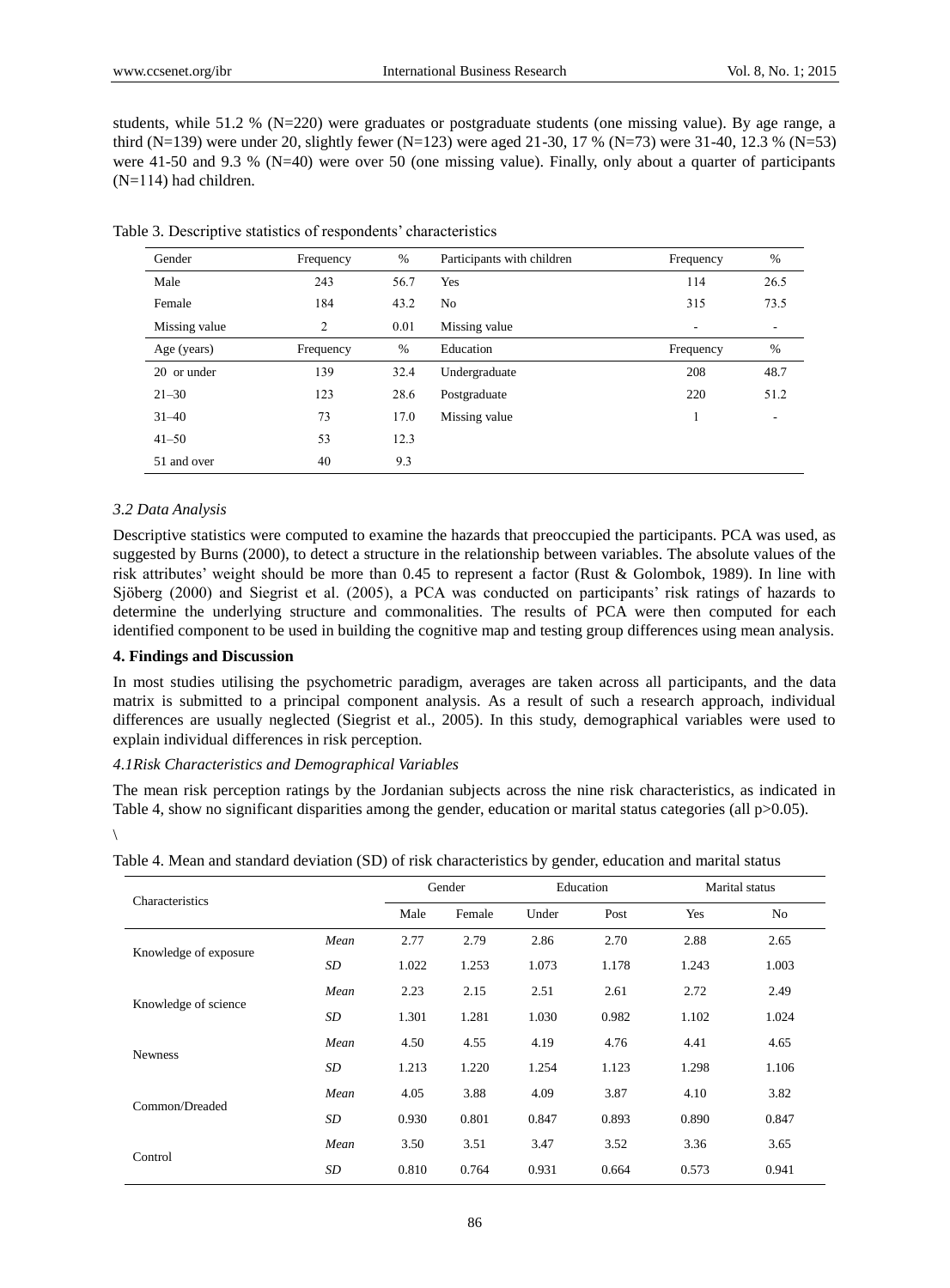students, while 51.2 % (N=220) were graduates or postgraduate students (one missing value). By age range, a third (N=139) were under 20, slightly fewer (N=123) were aged 21-30, 17 % (N=73) were 31-40, 12.3 % (N=53) were 41-50 and 9.3 % (N=40) were over 50 (one missing value). Finally, only about a quarter of participants  $(N=114)$  had children.

| Gender        | Frequency | $\%$ | Participants with children | Frequency | %    |
|---------------|-----------|------|----------------------------|-----------|------|
| Male          | 243       | 56.7 | Yes                        | 114       | 26.5 |
| Female        | 184       | 43.2 | No                         | 315       | 73.5 |
| Missing value | 2         | 0.01 | Missing value              | ۰         | ۰    |
| Age (years)   | Frequency | $\%$ | Education                  | Frequency | %    |
| 20 or under   | 139       | 32.4 | Undergraduate              | 208       | 48.7 |
| $21 - 30$     | 123       | 28.6 | Postgraduate               | 220       | 51.2 |
| $31 - 40$     | 73        | 17.0 | Missing value              |           | ۰    |
| $41 - 50$     | 53        | 12.3 |                            |           |      |
| 51 and over   | 40        | 9.3  |                            |           |      |

Table 3. Descriptive statistics of respondents' characteristics

#### *3.2 Data Analysis*

Descriptive statistics were computed to examine the hazards that preoccupied the participants. PCA was used, as suggested by Burns (2000), to detect a structure in the relationship between variables. The absolute values of the risk attributes' weight should be more than 0.45 to represent a factor (Rust & Golombok, 1989). In line with Sjöberg (2000) and Siegrist et al. (2005), a PCA was conducted on participants' risk ratings of hazards to determine the underlying structure and commonalities. The results of PCA were then computed for each identified component to be used in building the cognitive map and testing group differences using mean analysis.

### **4. Findings and Discussion**

In most studies utilising the psychometric paradigm, averages are taken across all participants, and the data matrix is submitted to a principal component analysis. As a result of such a research approach, individual differences are usually neglected (Siegrist et al., 2005). In this study, demographical variables were used to explain individual differences in risk perception.

#### *4.1Risk Characteristics and Demographical Variables*

The mean risk perception ratings by the Jordanian subjects across the nine risk characteristics, as indicated in Table 4, show no significant disparities among the gender, education or marital status categories (all p>0.05).  $\setminus$ 

Characteristics Gender Education Marital status Male Female Under Post Yes No Knowledge of exposure *Mean* 2.77 2.79 2.86 2.70 2.88 2.65 *SD* 1.022 1.253 1.073 1.178 1.243 1.003 Knowledge of science *Mean* 2.23 2.15 2.51 2.61 2.72 2.49 *SD* 1.301 1.281 1.030 0.982 1.102 1.024 Newness *Mean* 4.50 4.55 4.19 4.76 4.41 4.65 *SD* 1.213 1.220 1.254 1.123 1.298 1.106 Common/Dreaded *Mean* 4.05 3.88 4.09 3.87 4.10 3.82 *SD* 0.930 0.801 0.847 0.893 0.890 0.847 Control *Mean* 3.50 3.51 3.47 3.52 3.36 3.65 *SD* 0.810 0.764 0.931 0.664 0.573 0.941

Table 4. Mean and standard deviation (SD) of risk characteristics by gender, education and marital status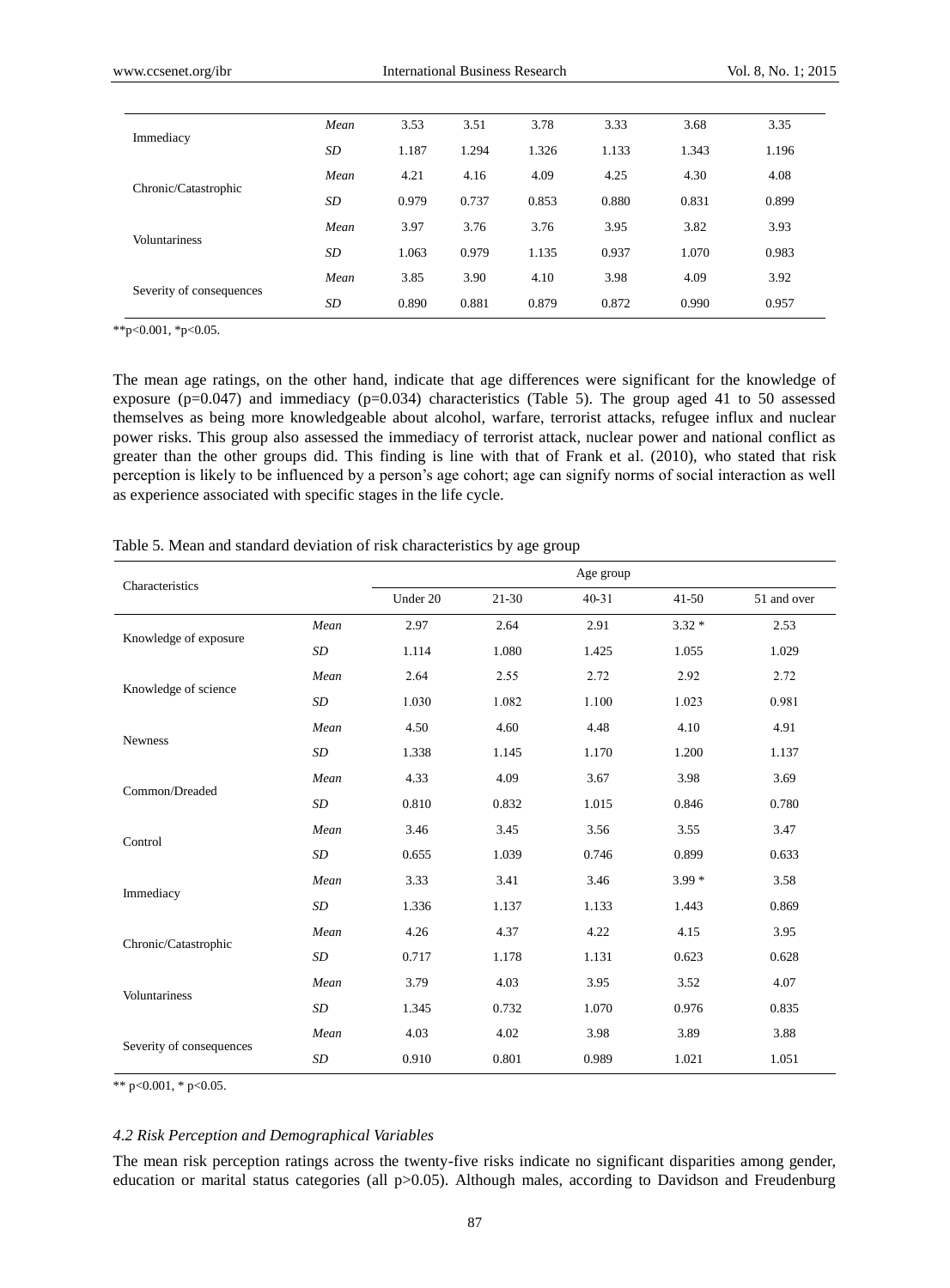|                          | Mean | 3.53  | 3.51  | 3.78  | 3.33  | 3.68  | 3.35  |
|--------------------------|------|-------|-------|-------|-------|-------|-------|
| Immediacy                | SD   | 1.187 | 1.294 | 1.326 | 1.133 | 1.343 | 1.196 |
| Chronic/Catastrophic     | Mean | 4.21  | 4.16  | 4.09  | 4.25  | 4.30  | 4.08  |
|                          | SD   | 0.979 | 0.737 | 0.853 | 0.880 | 0.831 | 0.899 |
| <b>Voluntariness</b>     | Mean | 3.97  | 3.76  | 3.76  | 3.95  | 3.82  | 3.93  |
|                          | SD   | 1.063 | 0.979 | 1.135 | 0.937 | 1.070 | 0.983 |
| Severity of consequences | Mean | 3.85  | 3.90  | 4.10  | 3.98  | 4.09  | 3.92  |
|                          | SD   | 0.890 | 0.881 | 0.879 | 0.872 | 0.990 | 0.957 |

\*\*p<0.001, \*p<0.05.

The mean age ratings, on the other hand, indicate that age differences were significant for the knowledge of exposure ( $p=0.047$ ) and immediacy ( $p=0.034$ ) characteristics (Table 5). The group aged 41 to 50 assessed themselves as being more knowledgeable about alcohol, warfare, terrorist attacks, refugee influx and nuclear power risks. This group also assessed the immediacy of terrorist attack, nuclear power and national conflict as greater than the other groups did. This finding is line with that of Frank et al. (2010), who stated that risk perception is likely to be influenced by a person's age cohort; age can signify norms of social interaction as well as experience associated with specific stages in the life cycle.

| Characteristics          |           |          |           | Age group |           |             |
|--------------------------|-----------|----------|-----------|-----------|-----------|-------------|
|                          |           | Under 20 | $21 - 30$ | $40 - 31$ | $41 - 50$ | 51 and over |
| Knowledge of exposure    | Mean      | 2.97     | 2.64      | 2.91      | $3.32*$   | 2.53        |
|                          | SD        | 1.114    | 1.080     | 1.425     | 1.055     | 1.029       |
| Knowledge of science     | Mean      | 2.64     | 2.55      | 2.72      | 2.92      | 2.72        |
|                          | SD        | 1.030    | 1.082     | 1.100     | 1.023     | 0.981       |
|                          | Mean      | 4.50     | 4.60      | 4.48      | 4.10      | 4.91        |
| <b>Newness</b>           | SD        | 1.338    | 1.145     | 1.170     | 1.200     | 1.137       |
| Common/Dreaded           | Mean      | 4.33     | 4.09      | 3.67      | 3.98      | 3.69        |
|                          | SD        | 0.810    | 0.832     | 1.015     | 0.846     | 0.780       |
|                          | Mean      | 3.46     | 3.45      | 3.56      | 3.55      | 3.47        |
| Control                  | SD        | 0.655    | 1.039     | 0.746     | 0.899     | 0.633       |
|                          | Mean      | 3.33     | 3.41      | 3.46      | $3.99*$   | 3.58        |
| Immediacy                | <b>SD</b> | 1.336    | 1.137     | 1.133     | 1.443     | 0.869       |
|                          | Mean      | 4.26     | 4.37      | 4.22      | 4.15      | 3.95        |
| Chronic/Catastrophic     | <b>SD</b> | 0.717    | 1.178     | 1.131     | 0.623     | 0.628       |
|                          | Mean      | 3.79     | 4.03      | 3.95      | 3.52      | 4.07        |
| Voluntariness            | <b>SD</b> | 1.345    | 0.732     | 1.070     | 0.976     | 0.835       |
|                          | Mean      | 4.03     | 4.02      | 3.98      | 3.89      | 3.88        |
| Severity of consequences | SD        | 0.910    | 0.801     | 0.989     | 1.021     | 1.051       |

Table 5. Mean and standard deviation of risk characteristics by age group

\*\* p<0.001, \* p<0.05.

#### *4.2 Risk Perception and Demographical Variables*

The mean risk perception ratings across the twenty-five risks indicate no significant disparities among gender, education or marital status categories (all p>0.05). Although males, according to Davidson and Freudenburg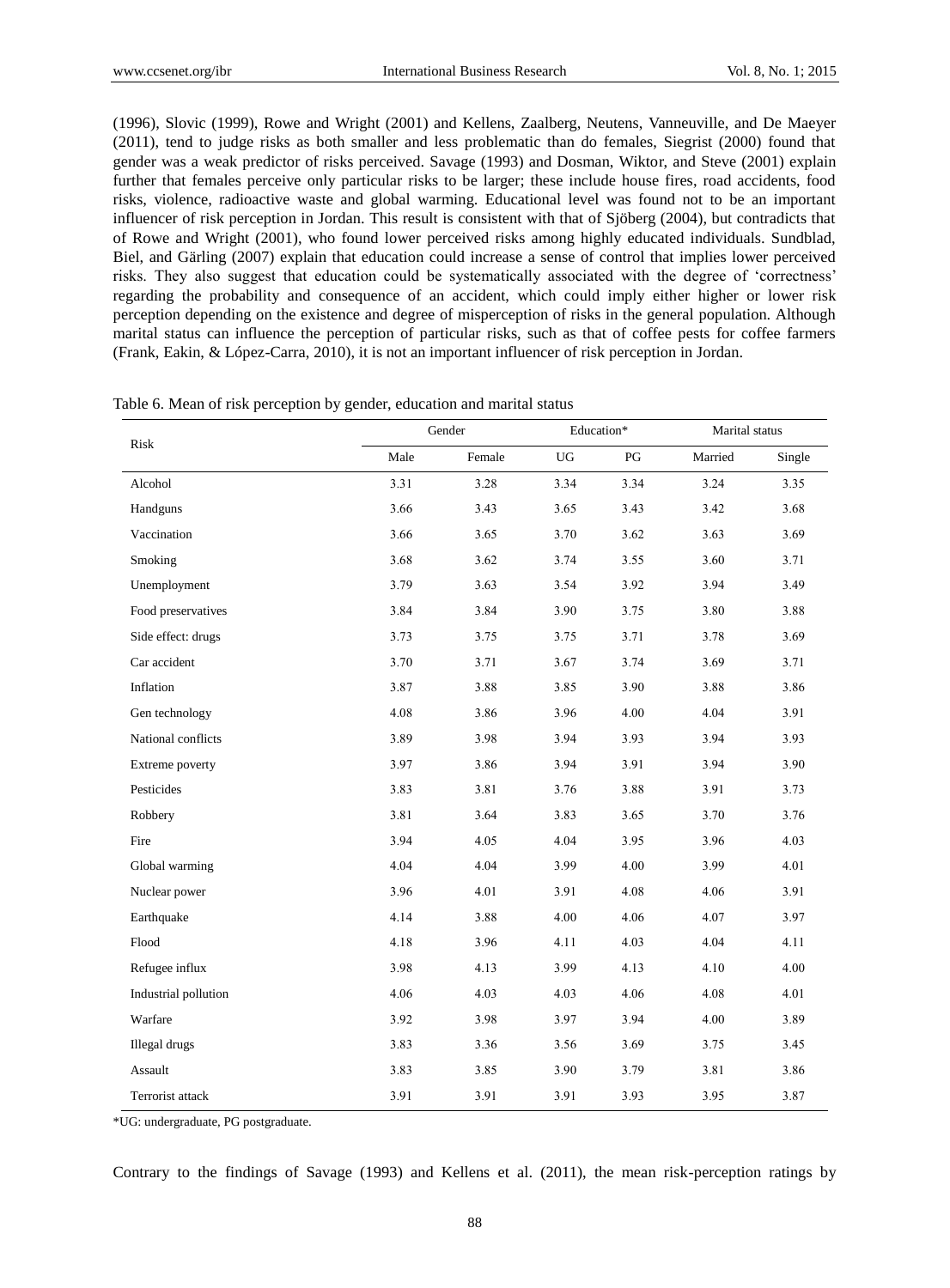(1996), Slovic (1999), Rowe and Wright (2001) and Kellens, Zaalberg, Neutens, Vanneuville, and De Maeyer (2011), tend to judge risks as both smaller and less problematic than do females, Siegrist (2000) found that gender was a weak predictor of risks perceived. Savage (1993) and Dosman, Wiktor, and Steve (2001) explain further that females perceive only particular risks to be larger; these include house fires, road accidents, food risks, violence, radioactive waste and global warming. Educational level was found not to be an important influencer of risk perception in Jordan. This result is consistent with that of Sjöberg (2004), but contradicts that of Rowe and Wright (2001), who found lower perceived risks among highly educated individuals. Sundblad, Biel, and Gärling (2007) explain that education could increase a sense of control that implies lower perceived risks. They also suggest that education could be systematically associated with the degree of 'correctness' regarding the probability and consequence of an accident, which could imply either higher or lower risk perception depending on the existence and degree of misperception of risks in the general population. Although marital status can influence the perception of particular risks, such as that of coffee pests for coffee farmers (Frank, Eakin, & López-Carra, 2010), it is not an important influencer of risk perception in Jordan.

| Risk                 |      | Gender |      | Education* | Marital status |        |
|----------------------|------|--------|------|------------|----------------|--------|
|                      | Male | Female | UG   | PG         | Married        | Single |
| Alcohol              | 3.31 | 3.28   | 3.34 | 3.34       | 3.24           | 3.35   |
| Handguns             | 3.66 | 3.43   | 3.65 | 3.43       | 3.42           | 3.68   |
| Vaccination          | 3.66 | 3.65   | 3.70 | 3.62       | 3.63           | 3.69   |
| Smoking              | 3.68 | 3.62   | 3.74 | 3.55       | 3.60           | 3.71   |
| Unemployment         | 3.79 | 3.63   | 3.54 | 3.92       | 3.94           | 3.49   |
| Food preservatives   | 3.84 | 3.84   | 3.90 | 3.75       | 3.80           | 3.88   |
| Side effect: drugs   | 3.73 | 3.75   | 3.75 | 3.71       | 3.78           | 3.69   |
| Car accident         | 3.70 | 3.71   | 3.67 | 3.74       | 3.69           | 3.71   |
| Inflation            | 3.87 | 3.88   | 3.85 | 3.90       | 3.88           | 3.86   |
| Gen technology       | 4.08 | 3.86   | 3.96 | 4.00       | 4.04           | 3.91   |
| National conflicts   | 3.89 | 3.98   | 3.94 | 3.93       | 3.94           | 3.93   |
| Extreme poverty      | 3.97 | 3.86   | 3.94 | 3.91       | 3.94           | 3.90   |
| Pesticides           | 3.83 | 3.81   | 3.76 | 3.88       | 3.91           | 3.73   |
| Robbery              | 3.81 | 3.64   | 3.83 | 3.65       | 3.70           | 3.76   |
| Fire                 | 3.94 | 4.05   | 4.04 | 3.95       | 3.96           | 4.03   |
| Global warming       | 4.04 | 4.04   | 3.99 | 4.00       | 3.99           | 4.01   |
| Nuclear power        | 3.96 | 4.01   | 3.91 | 4.08       | 4.06           | 3.91   |
| Earthquake           | 4.14 | 3.88   | 4.00 | 4.06       | 4.07           | 3.97   |
| Flood                | 4.18 | 3.96   | 4.11 | 4.03       | 4.04           | 4.11   |
| Refugee influx       | 3.98 | 4.13   | 3.99 | 4.13       | 4.10           | 4.00   |
| Industrial pollution | 4.06 | 4.03   | 4.03 | 4.06       | 4.08           | 4.01   |
| Warfare              | 3.92 | 3.98   | 3.97 | 3.94       | 4.00           | 3.89   |
| <b>Illegal</b> drugs | 3.83 | 3.36   | 3.56 | 3.69       | 3.75           | 3.45   |
| Assault              | 3.83 | 3.85   | 3.90 | 3.79       | 3.81           | 3.86   |
| Terrorist attack     | 3.91 | 3.91   | 3.91 | 3.93       | 3.95           | 3.87   |

Table 6. Mean of risk perception by gender, education and marital status

\*UG: undergraduate, PG postgraduate.

Contrary to the findings of Savage (1993) and Kellens et al. (2011), the mean risk-perception ratings by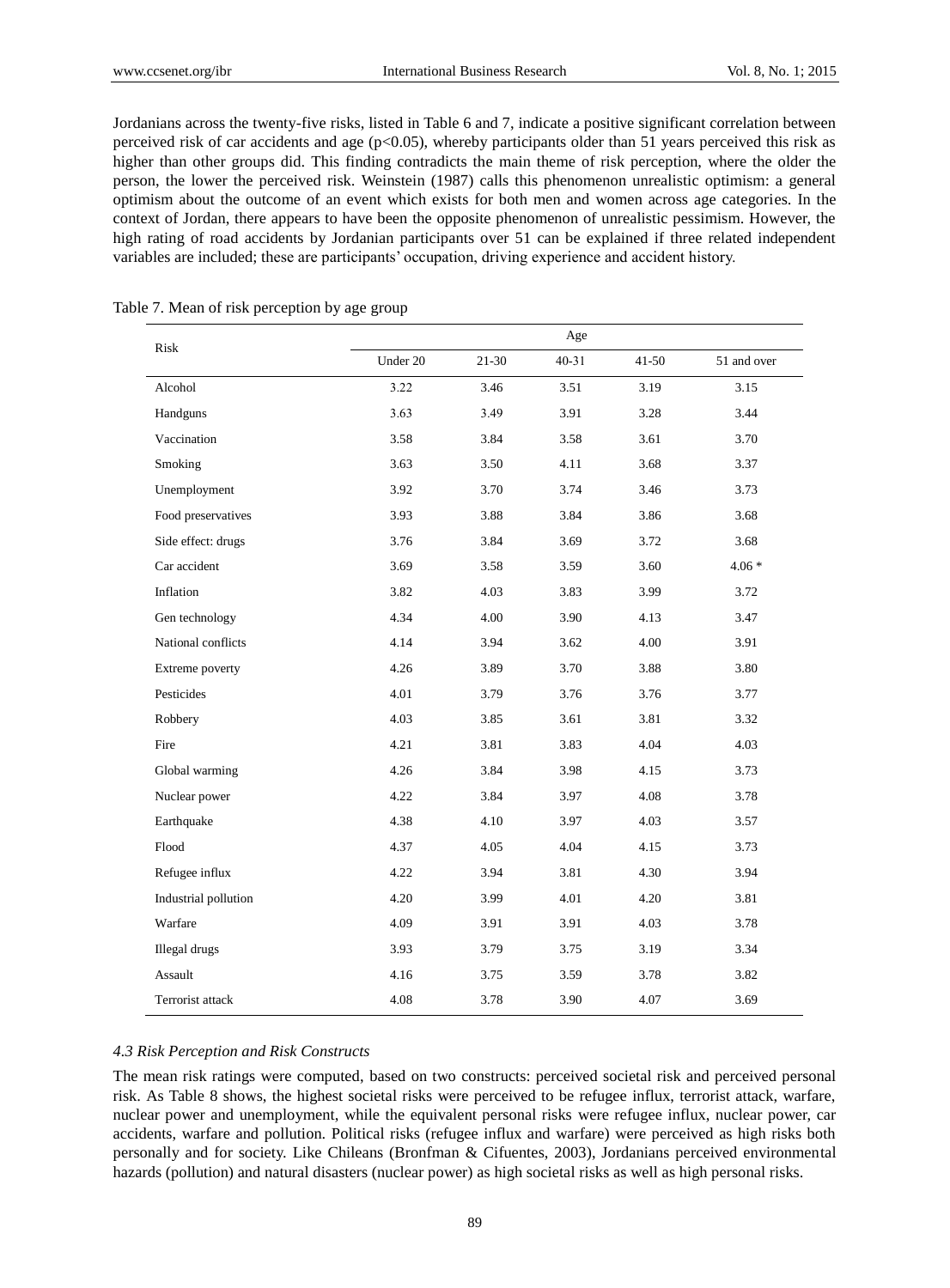Jordanians across the twenty-five risks, listed in Table 6 and 7, indicate a positive significant correlation between perceived risk of car accidents and age (p<0.05), whereby participants older than 51 years perceived this risk as higher than other groups did. This finding contradicts the main theme of risk perception, where the older the person, the lower the perceived risk. Weinstein (1987) calls this phenomenon unrealistic optimism: a general optimism about the outcome of an event which exists for both men and women across age categories. In the context of Jordan, there appears to have been the opposite phenomenon of unrealistic pessimism. However, the high rating of road accidents by Jordanian participants over 51 can be explained if three related independent variables are included; these are participants' occupation, driving experience and accident history.

| Risk                 |          |       | $_{\rm Age}$ |           |             |
|----------------------|----------|-------|--------------|-----------|-------------|
|                      | Under 20 | 21-30 | $40 - 31$    | $41 - 50$ | 51 and over |
| Alcohol              | 3.22     | 3.46  | 3.51         | 3.19      | 3.15        |
| Handguns             | 3.63     | 3.49  | 3.91         | 3.28      | 3.44        |
| Vaccination          | 3.58     | 3.84  | 3.58         | 3.61      | 3.70        |
| Smoking              | 3.63     | 3.50  | 4.11         | 3.68      | 3.37        |
| Unemployment         | 3.92     | 3.70  | 3.74         | 3.46      | 3.73        |
| Food preservatives   | 3.93     | 3.88  | 3.84         | 3.86      | 3.68        |
| Side effect: drugs   | 3.76     | 3.84  | 3.69         | 3.72      | 3.68        |
| Car accident         | 3.69     | 3.58  | 3.59         | 3.60      | $4.06*$     |
| Inflation            | 3.82     | 4.03  | 3.83         | 3.99      | 3.72        |
| Gen technology       | 4.34     | 4.00  | 3.90         | 4.13      | 3.47        |
| National conflicts   | 4.14     | 3.94  | 3.62         | 4.00      | 3.91        |
| Extreme poverty      | 4.26     | 3.89  | 3.70         | 3.88      | 3.80        |
| Pesticides           | 4.01     | 3.79  | 3.76         | 3.76      | 3.77        |
| Robbery              | 4.03     | 3.85  | 3.61         | 3.81      | 3.32        |
| Fire                 | 4.21     | 3.81  | 3.83         | 4.04      | 4.03        |
| Global warming       | 4.26     | 3.84  | 3.98         | 4.15      | 3.73        |
| Nuclear power        | 4.22     | 3.84  | 3.97         | 4.08      | 3.78        |
| Earthquake           | 4.38     | 4.10  | 3.97         | 4.03      | 3.57        |
| Flood                | 4.37     | 4.05  | 4.04         | 4.15      | 3.73        |
| Refugee influx       | 4.22     | 3.94  | 3.81         | 4.30      | 3.94        |
| Industrial pollution | 4.20     | 3.99  | 4.01         | 4.20      | 3.81        |
| Warfare              | 4.09     | 3.91  | 3.91         | 4.03      | 3.78        |
| Illegal drugs        | 3.93     | 3.79  | 3.75         | 3.19      | 3.34        |
| Assault              | 4.16     | 3.75  | 3.59         | 3.78      | 3.82        |
| Terrorist attack     | 4.08     | 3.78  | 3.90         | 4.07      | 3.69        |

#### Table 7. Mean of risk perception by age group

# *4.3 Risk Perception and Risk Constructs*

The mean risk ratings were computed, based on two constructs: perceived societal risk and perceived personal risk. As Table 8 shows, the highest societal risks were perceived to be refugee influx, terrorist attack, warfare, nuclear power and unemployment, while the equivalent personal risks were refugee influx, nuclear power, car accidents, warfare and pollution. Political risks (refugee influx and warfare) were perceived as high risks both personally and for society. Like Chileans (Bronfman & Cifuentes, 2003), Jordanians perceived environmental hazards (pollution) and natural disasters (nuclear power) as high societal risks as well as high personal risks.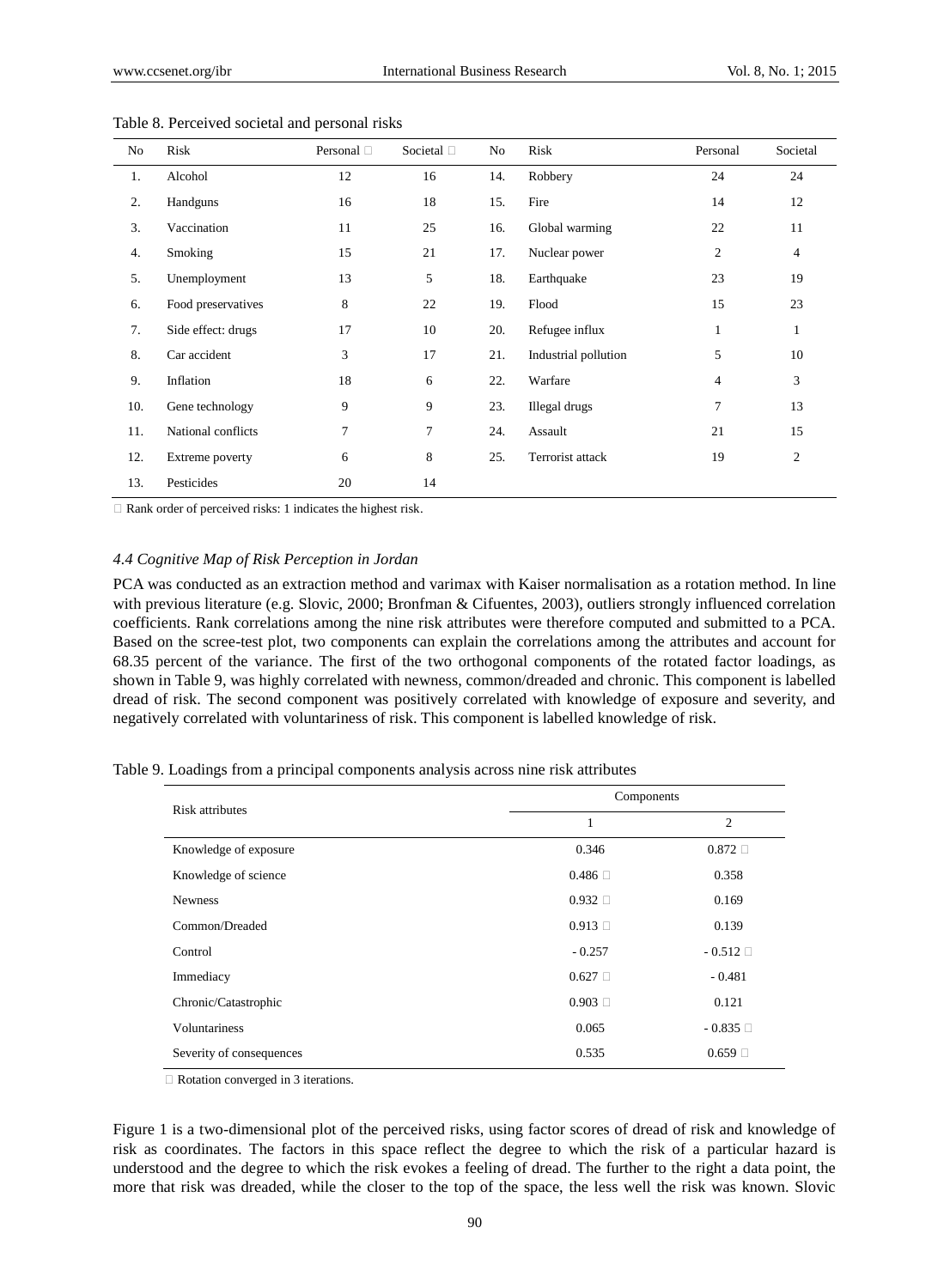| No  | Risk               | Personal $\Box$ | Societal <sup>[]</sup> | No  | Risk                 | Personal       | Societal       |
|-----|--------------------|-----------------|------------------------|-----|----------------------|----------------|----------------|
| 1.  | Alcohol            | 12              | 16                     | 14. | Robbery              | 24             | 24             |
| 2.  | Handguns           | 16              | 18                     | 15. | Fire                 | 14             | 12             |
| 3.  | Vaccination        | 11              | 25                     | 16. | Global warming       | 22             | 11             |
| 4.  | Smoking            | 15              | 21                     | 17. | Nuclear power        | $\overline{c}$ | 4              |
| 5.  | Unemployment       | 13              | 5                      | 18. | Earthquake           | 23             | 19             |
| 6.  | Food preservatives | 8               | 22                     | 19. | Flood                | 15             | 23             |
| 7.  | Side effect: drugs | 17              | 10                     | 20. | Refugee influx       | $\mathbf{1}$   | 1              |
| 8.  | Car accident       | 3               | 17                     | 21. | Industrial pollution | 5              | 10             |
| 9.  | Inflation          | 18              | 6                      | 22. | Warfare              | 4              | 3              |
| 10. | Gene technology    | 9               | 9                      | 23. | Illegal drugs        | 7              | 13             |
| 11. | National conflicts | $\overline{7}$  | $\tau$                 | 24. | Assault              | 21             | 15             |
| 12. | Extreme poverty    | 6               | 8                      | 25. | Terrorist attack     | 19             | $\mathfrak{2}$ |
| 13. | Pesticides         | 20              | 14                     |     |                      |                |                |

Table 8. Perceived societal and personal risks

 $\Box$  Rank order of perceived risks: 1 indicates the highest risk.

#### *4.4 Cognitive Map of Risk Perception in Jordan*

PCA was conducted as an extraction method and varimax with Kaiser normalisation as a rotation method. In line with previous literature (e.g. Slovic, 2000; Bronfman & Cifuentes, 2003), outliers strongly influenced correlation coefficients. Rank correlations among the nine risk attributes were therefore computed and submitted to a PCA. Based on the scree-test plot, two components can explain the correlations among the attributes and account for 68.35 percent of the variance. The first of the two orthogonal components of the rotated factor loadings, as shown in Table 9, was highly correlated with newness, common/dreaded and chronic. This component is labelled dread of risk. The second component was positively correlated with knowledge of exposure and severity, and negatively correlated with voluntariness of risk. This component is labelled knowledge of risk.

Table 9. Loadings from a principal components analysis across nine risk attributes

| <b>Risk attributes</b>   | Components      |                 |
|--------------------------|-----------------|-----------------|
|                          | 1               | $\overline{c}$  |
| Knowledge of exposure    | 0.346           | $0.872 \square$ |
| Knowledge of science     | $0.486 \square$ | 0.358           |
| <b>Newness</b>           | $0.932 \square$ | 0.169           |
| Common/Dreaded           | 0.913           | 0.139           |
| Control                  | $-0.257$        | $-0.512$        |
| Immediacy                | $0.627 \square$ | $-0.481$        |
| Chronic/Catastrophic     | 0.903           | 0.121           |
| Voluntariness            | 0.065           | $-0.835$        |
| Severity of consequences | 0.535           | 0.659           |

□ Rotation converged in 3 iterations.

Figure 1 is a two-dimensional plot of the perceived risks, using factor scores of dread of risk and knowledge of risk as coordinates. The factors in this space reflect the degree to which the risk of a particular hazard is understood and the degree to which the risk evokes a feeling of dread. The further to the right a data point, the more that risk was dreaded, while the closer to the top of the space, the less well the risk was known. Slovic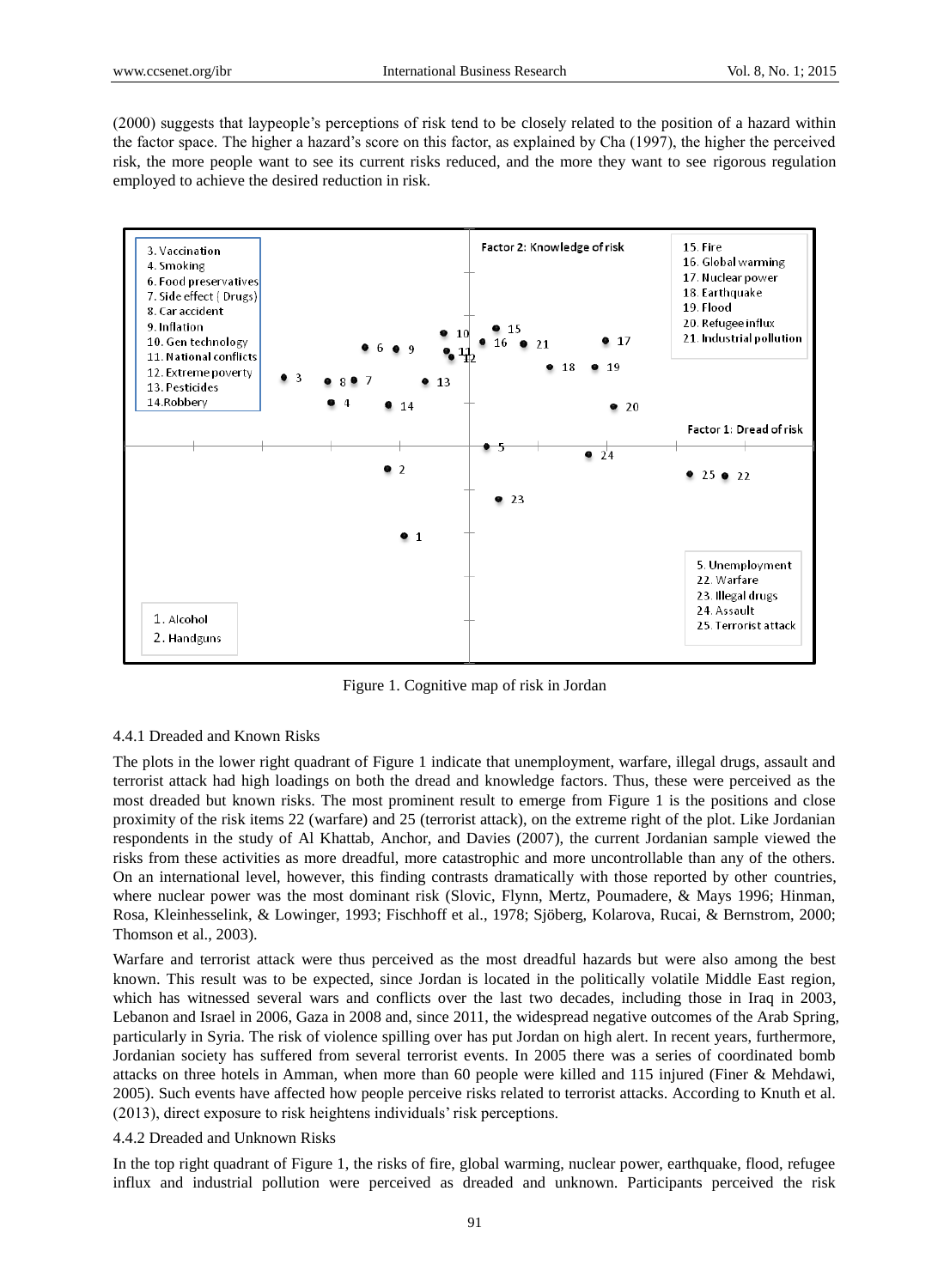(2000) suggests that laypeople's perceptions of risk tend to be closely related to the position of a hazard within the factor space. The higher a hazard's score on this factor, as explained by Cha (1997), the higher the perceived risk, the more people want to see its current risks reduced, and the more they want to see rigorous regulation employed to achieve the desired reduction in risk.



Figure 1. Cognitive map of risk in Jordan

## 4.4.1 Dreaded and Known Risks

The plots in the lower right quadrant of Figure 1 indicate that unemployment, warfare, illegal drugs, assault and terrorist attack had high loadings on both the dread and knowledge factors. Thus, these were perceived as the most dreaded but known risks. The most prominent result to emerge from Figure 1 is the positions and close proximity of the risk items 22 (warfare) and 25 (terrorist attack), on the extreme right of the plot. Like Jordanian respondents in the study of Al Khattab, Anchor, and Davies (2007), the current Jordanian sample viewed the risks from these activities as more dreadful, more catastrophic and more uncontrollable than any of the others. On an international level, however, this finding contrasts dramatically with those reported by other countries, where nuclear power was the most dominant risk (Slovic, Flynn, Mertz, Poumadere, & Mays 1996; Hinman, Rosa, Kleinhesselink, & Lowinger, 1993; Fischhoff et al., 1978; Sjöberg, Kolarova, Rucai, & Bernstrom, 2000; Thomson et al., 2003).

Warfare and terrorist attack were thus perceived as the most dreadful hazards but were also among the best known. This result was to be expected, since Jordan is located in the politically volatile Middle East region, which has witnessed several wars and conflicts over the last two decades, including those in Iraq in 2003, Lebanon and Israel in 2006, Gaza in 2008 and, since 2011, the widespread negative outcomes of the Arab Spring, particularly in Syria. The risk of violence spilling over has put Jordan on high alert. In recent years, furthermore, Jordanian society has suffered from several terrorist events. In 2005 there was a series of coordinated bomb attacks on three hotels in Amman, when more than 60 people were killed and 115 injured (Finer & Mehdawi, 2005). Such events have affected how people perceive risks related to terrorist attacks. According to Knuth et al. (2013), direct exposure to risk heightens individuals' risk perceptions.

# 4.4.2 Dreaded and Unknown Risks

In the top right quadrant of Figure 1, the risks of fire, global warming, nuclear power, earthquake, flood, refugee influx and industrial pollution were perceived as dreaded and unknown. Participants perceived the risk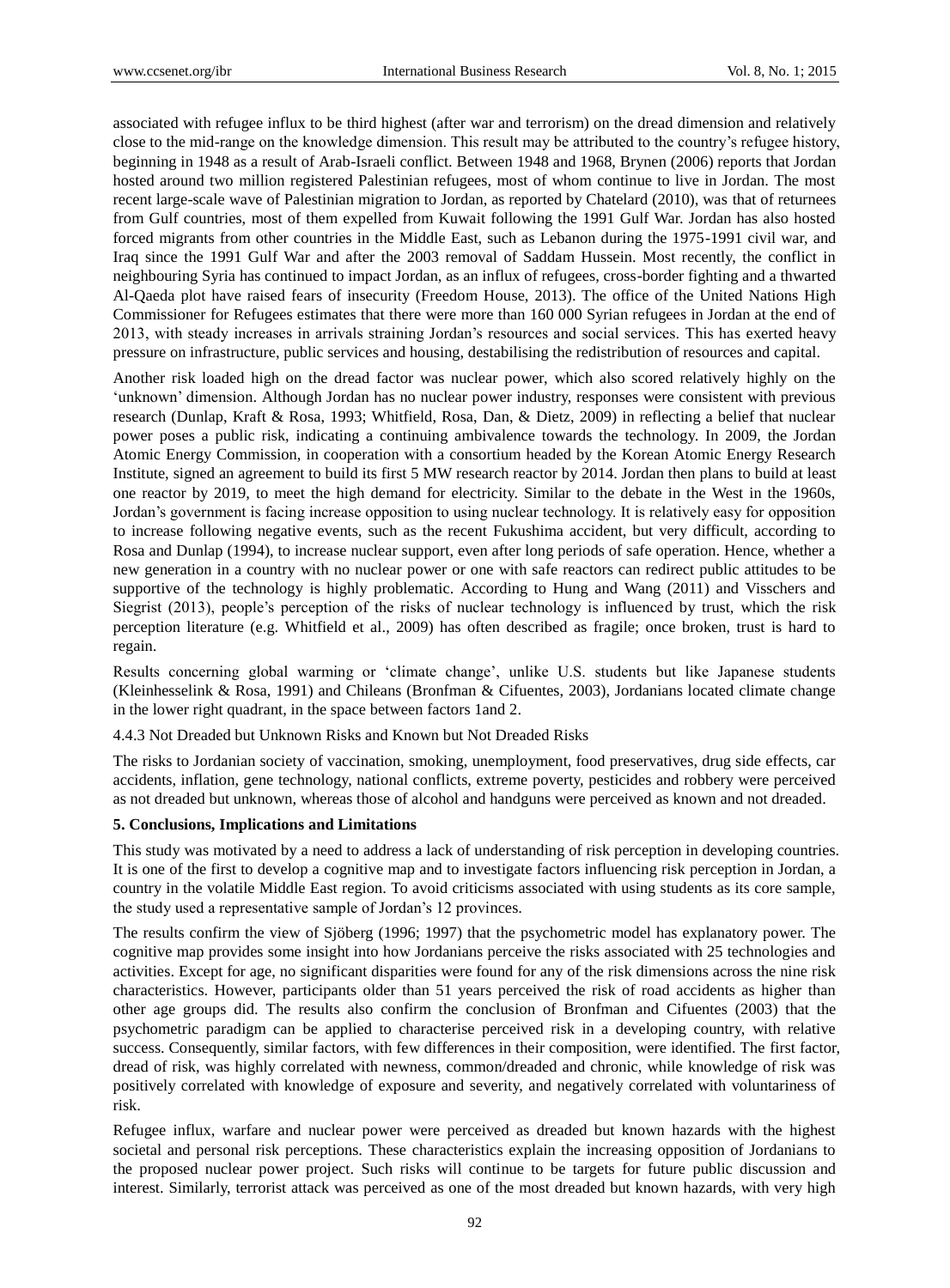associated with refugee influx to be third highest (after war and terrorism) on the dread dimension and relatively close to the mid-range on the knowledge dimension. This result may be attributed to the country's refugee history, beginning in 1948 as a result of Arab-Israeli conflict. Between 1948 and 1968, Brynen (2006) reports that Jordan hosted around two million registered Palestinian refugees, most of whom continue to live in Jordan. The most recent large-scale wave of Palestinian migration to Jordan, as reported by Chatelard (2010), was that of returnees from Gulf countries, most of them expelled from Kuwait following the 1991 Gulf War. Jordan has also hosted forced migrants from other countries in the Middle East, such as Lebanon during the 1975-1991 civil war, and Iraq since the 1991 Gulf War and after the 2003 removal of Saddam Hussein. Most recently, the conflict in neighbouring Syria has continued to impact Jordan, as an influx of refugees, cross-border fighting and a thwarted Al-Qaeda plot have raised fears of insecurity (Freedom House, 2013). The office of the United Nations High Commissioner for Refugees estimates that there were more than 160 000 Syrian refugees in Jordan at the end of 2013, with steady increases in arrivals straining Jordan's resources and social services. This has exerted heavy pressure on infrastructure, public services and housing, destabilising the redistribution of resources and capital.

Another risk loaded high on the dread factor was nuclear power, which also scored relatively highly on the 'unknown' dimension. Although Jordan has no nuclear power industry, responses were consistent with previous research (Dunlap, Kraft & Rosa, 1993; Whitfield, Rosa, Dan, & Dietz, 2009) in reflecting a belief that nuclear power poses a public risk, indicating a continuing ambivalence towards the technology. In 2009, the Jordan Atomic Energy Commission, in cooperation with a consortium headed by the Korean Atomic Energy Research Institute, signed an agreement to build its first 5 MW research reactor by 2014. Jordan then plans to build at least one reactor by 2019, to meet the high demand for electricity. Similar to the debate in the West in the 1960s, Jordan's government is facing increase opposition to using nuclear technology. It is relatively easy for opposition to increase following negative events, such as the recent Fukushima accident, but very difficult, according to Rosa and Dunlap (1994), to increase nuclear support, even after long periods of safe operation. Hence, whether a new generation in a country with no nuclear power or one with safe reactors can redirect public attitudes to be supportive of the technology is highly problematic. According to Hung and Wang (2011) and Visschers and Siegrist (2013), people's perception of the risks of nuclear technology is influenced by trust, which the risk perception literature (e.g. Whitfield et al., 2009) has often described as fragile; once broken, trust is hard to regain.

Results concerning global warming or 'climate change', unlike U.S. students but like Japanese students (Kleinhesselink & Rosa, 1991) and Chileans (Bronfman & Cifuentes, 2003), Jordanians located climate change in the lower right quadrant, in the space between factors 1and 2.

4.4.3 Not Dreaded but Unknown Risks and Known but Not Dreaded Risks

The risks to Jordanian society of vaccination, smoking, unemployment, food preservatives, drug side effects, car accidents, inflation, gene technology, national conflicts, extreme poverty, pesticides and robbery were perceived as not dreaded but unknown, whereas those of alcohol and handguns were perceived as known and not dreaded.

#### **5. Conclusions, Implications and Limitations**

This study was motivated by a need to address a lack of understanding of risk perception in developing countries. It is one of the first to develop a cognitive map and to investigate factors influencing risk perception in Jordan, a country in the volatile Middle East region. To avoid criticisms associated with using students as its core sample, the study used a representative sample of Jordan's 12 provinces.

The results confirm the view of Sjöberg (1996; 1997) that the psychometric model has explanatory power. The cognitive map provides some insight into how Jordanians perceive the risks associated with 25 technologies and activities. Except for age, no significant disparities were found for any of the risk dimensions across the nine risk characteristics. However, participants older than 51 years perceived the risk of road accidents as higher than other age groups did. The results also confirm the conclusion of Bronfman and Cifuentes (2003) that the psychometric paradigm can be applied to characterise perceived risk in a developing country, with relative success. Consequently, similar factors, with few differences in their composition, were identified. The first factor, dread of risk, was highly correlated with newness, common/dreaded and chronic, while knowledge of risk was positively correlated with knowledge of exposure and severity, and negatively correlated with voluntariness of risk.

Refugee influx, warfare and nuclear power were perceived as dreaded but known hazards with the highest societal and personal risk perceptions. These characteristics explain the increasing opposition of Jordanians to the proposed nuclear power project. Such risks will continue to be targets for future public discussion and interest. Similarly, terrorist attack was perceived as one of the most dreaded but known hazards, with very high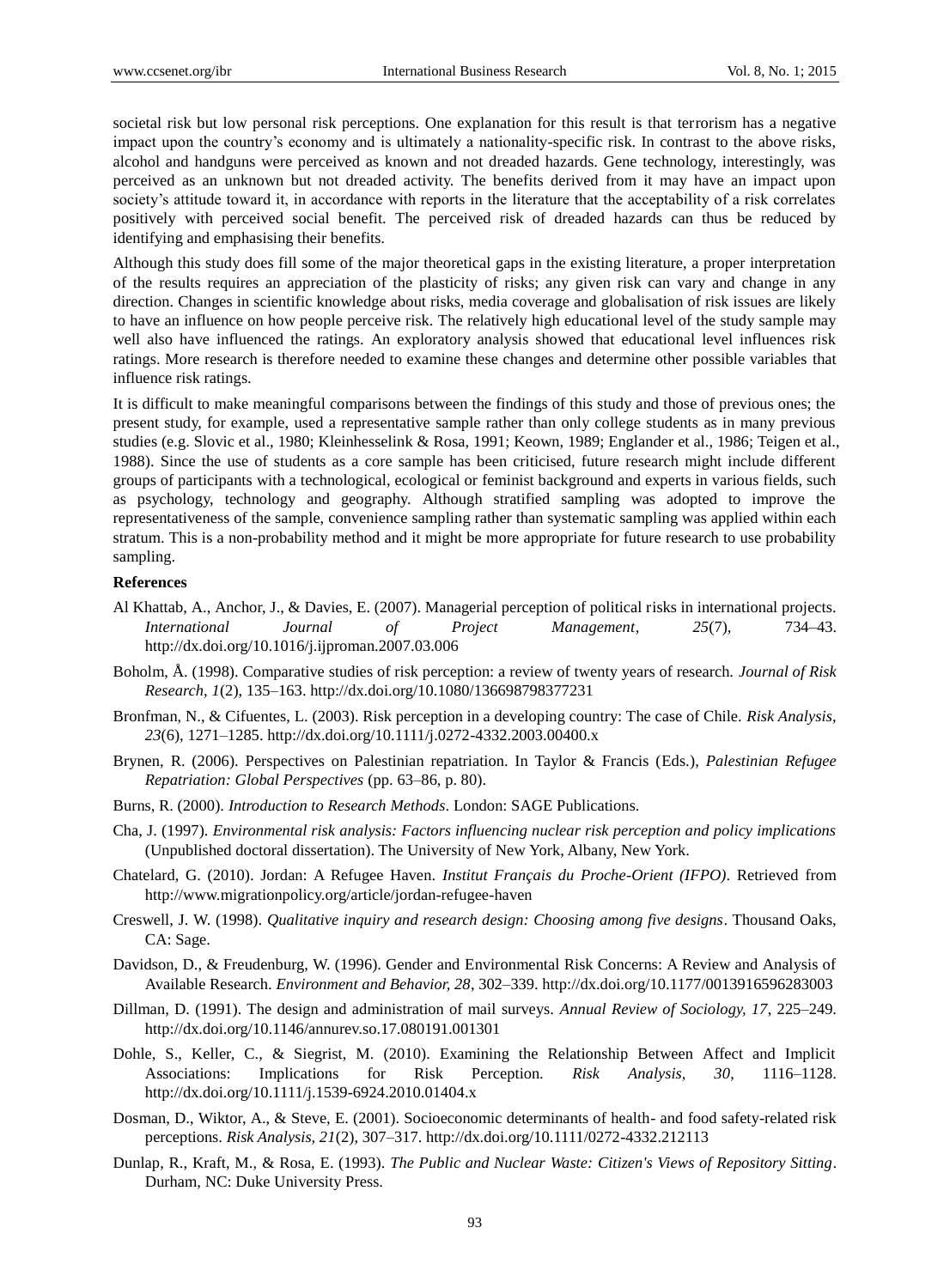societal risk but low personal risk perceptions. One explanation for this result is that terrorism has a negative impact upon the country's economy and is ultimately a nationality-specific risk. In contrast to the above risks, alcohol and handguns were perceived as known and not dreaded hazards. Gene technology, interestingly, was perceived as an unknown but not dreaded activity. The benefits derived from it may have an impact upon society's attitude toward it, in accordance with reports in the literature that the acceptability of a risk correlates positively with perceived social benefit. The perceived risk of dreaded hazards can thus be reduced by identifying and emphasising their benefits.

Although this study does fill some of the major theoretical gaps in the existing literature, a proper interpretation of the results requires an appreciation of the plasticity of risks; any given risk can vary and change in any direction. Changes in scientific knowledge about risks, media coverage and globalisation of risk issues are likely to have an influence on how people perceive risk. The relatively high educational level of the study sample may well also have influenced the ratings. An exploratory analysis showed that educational level influences risk ratings. More research is therefore needed to examine these changes and determine other possible variables that influence risk ratings.

It is difficult to make meaningful comparisons between the findings of this study and those of previous ones; the present study, for example, used a representative sample rather than only college students as in many previous studies (e.g. Slovic et al., 1980; Kleinhesselink & Rosa, 1991; Keown, 1989; Englander et al., 1986; Teigen et al., 1988). Since the use of students as a core sample has been criticised, future research might include different groups of participants with a technological, ecological or feminist background and experts in various fields, such as psychology, technology and geography. Although stratified sampling was adopted to improve the representativeness of the sample, convenience sampling rather than systematic sampling was applied within each stratum. This is a non-probability method and it might be more appropriate for future research to use probability sampling.

#### **References**

- Al Khattab, A., Anchor, J., & Davies, E. (2007). Managerial perception of political risks in international projects. *International Journal of Project Management*, *25*(7), 734–43. http://dx.doi.org/10.1016/j.ijproman.2007.03.006
- Boholm, Å. (1998). Comparative studies of risk perception: a review of twenty years of research. *Journal of Risk Research, 1*(2), 135–163. http://dx.doi.org/10.1080/136698798377231
- Bronfman, N., & Cifuentes, L. (2003). Risk perception in a developing country: The case of Chile. *Risk Analysis*, *23*(6), 1271–1285. http://dx.doi.org/10.1111/j.0272-4332.2003.00400.x
- Brynen, R. (2006). Perspectives on Palestinian repatriation. In Taylor & Francis (Eds.), *Palestinian Refugee Repatriation: Global Perspectives* (pp. 63–86, p. 80).
- Burns, R. (2000). *Introduction to Research Methods*. London: SAGE Publications.
- Cha, J. (1997). *Environmental risk analysis: Factors influencing nuclear risk perception and policy implications* (Unpublished doctoral dissertation). The University of New York, Albany, New York.
- Chatelard, G. (2010). Jordan: A Refugee Haven. *Institut Français du Proche-Orient (IFPO)*. Retrieved from http://www.migrationpolicy.org/article/jordan-refugee-haven
- Creswell, J. W. (1998). *Qualitative inquiry and research design: Choosing among five designs*. Thousand Oaks, CA: Sage.
- Davidson, D., & Freudenburg, W. (1996). Gender and Environmental Risk Concerns: A Review and Analysis of Available Research. *Environment and Behavior, 28*, 302–339. http://dx.doi.org/10.1177/0013916596283003
- Dillman, D. (1991). The design and administration of mail surveys. *Annual Review of Sociology, 17*, 225–249. http://dx.doi.org/10.1146/annurev.so.17.080191.001301
- Dohle, S., Keller, C., & Siegrist, M. (2010). Examining the Relationship Between Affect and Implicit Associations: Implications for Risk Perception. *Risk Analysis, 30*, 1116–1128. http://dx.doi.org/10.1111/j.1539-6924.2010.01404.x
- Dosman, D., Wiktor, A., & Steve, E. (2001). Socioeconomic determinants of health- and food safety-related risk perceptions. *Risk Analysis, 21*(2), 307–317. http://dx.doi.org/10.1111/0272-4332.212113
- Dunlap, R., Kraft, M., & Rosa, E. (1993). *The Public and Nuclear Waste: Citizen's Views of Repository Sitting*. Durham, NC: Duke University Press.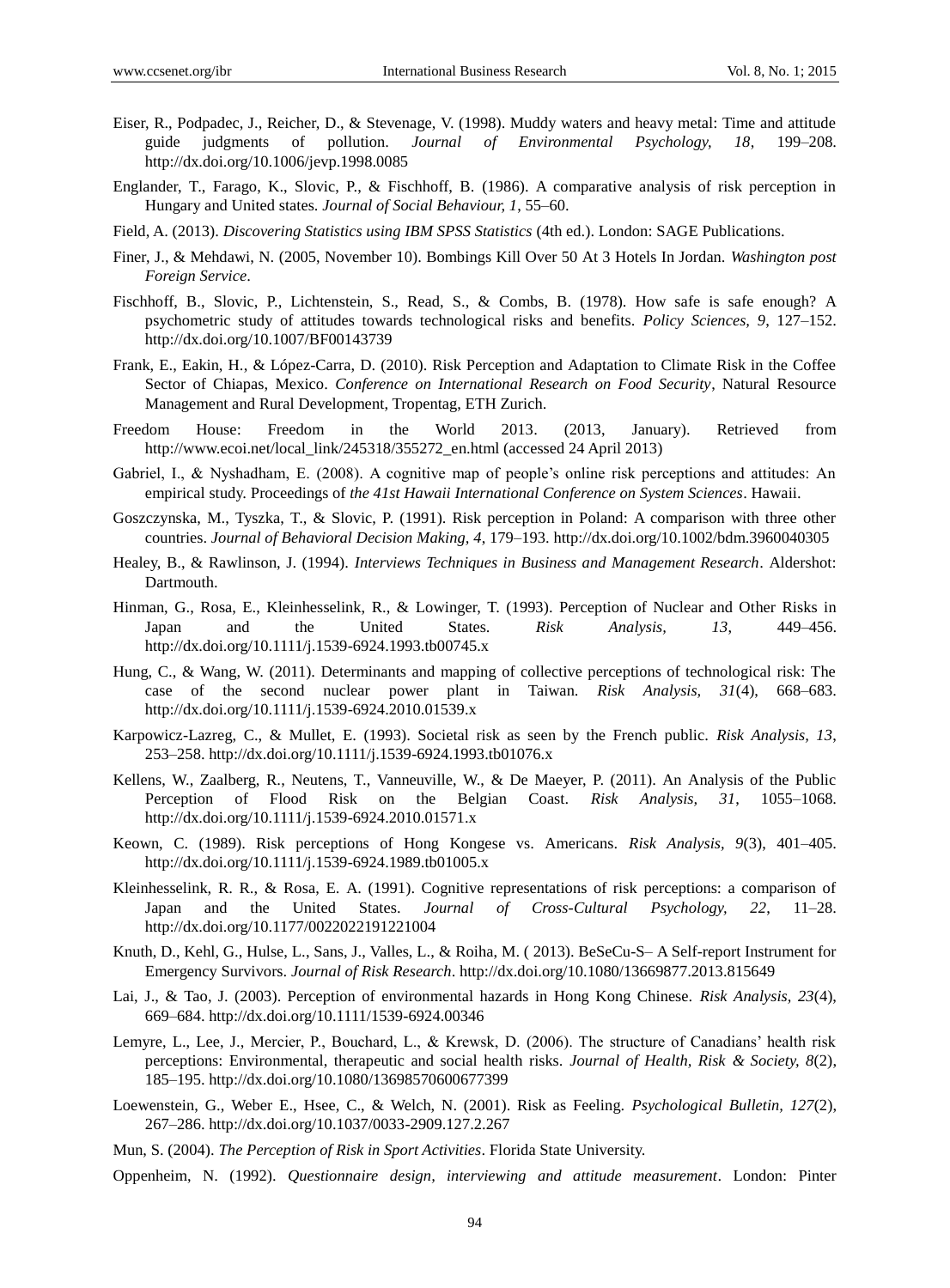- Eiser, R., Podpadec, J., Reicher, D., & Stevenage, V. (1998). Muddy waters and heavy metal: Time and attitude guide judgments of pollution. *Journal of Environmental Psychology, 18*, 199–208. http://dx.doi.org/10.1006/jevp.1998.0085
- Englander, T., Farago, K., Slovic, P., & Fischhoff, B. (1986). A comparative analysis of risk perception in Hungary and United states. *Journal of Social Behaviour, 1*, 55–60.
- Field, A. (2013). *Discovering Statistics using IBM SPSS Statistics* (4th ed.). London: SAGE Publications.
- Finer, J., & Mehdawi, N. (2005, November 10). Bombings Kill Over 50 At 3 Hotels In Jordan. *Washington post Foreign Service*.
- Fischhoff, B., Slovic, P., Lichtenstein, S., Read, S., & Combs, B. (1978). How safe is safe enough? A psychometric study of attitudes towards technological risks and benefits. *Policy Sciences, 9*, 127–152. http://dx.doi.org/10.1007/BF00143739
- Frank, E., Eakin, H., & López-Carra, D. (2010). Risk Perception and Adaptation to Climate Risk in the Coffee Sector of Chiapas, Mexico. *Conference on International Research on Food Security*, Natural Resource Management and Rural Development, Tropentag, ETH Zurich.
- Freedom House: Freedom in the World 2013. (2013, January). Retrieved from http://www.ecoi.net/local\_link/245318/355272\_en.html (accessed 24 April 2013)
- Gabriel, I., & Nyshadham, E. (2008). A cognitive map of people's online risk perceptions and attitudes: An empirical study. Proceedings of *the 41st Hawaii International Conference on System Sciences*. Hawaii.
- Goszczynska, M., Tyszka, T., & Slovic, P. (1991). Risk perception in Poland: A comparison with three other countries. *Journal of Behavioral Decision Making, 4*, 179–193. http://dx.doi.org/10.1002/bdm.3960040305
- Healey, B., & Rawlinson, J. (1994). *Interviews Techniques in Business and Management Research*. Aldershot: Dartmouth.
- Hinman, G., Rosa, E., Kleinhesselink, R., & Lowinger, T. (1993). Perception of Nuclear and Other Risks in Japan and the United States. *Risk Analysis, 13*, 449–456. http://dx.doi.org/10.1111/j.1539-6924.1993.tb00745.x
- Hung, C., & Wang, W. (2011). Determinants and mapping of collective perceptions of technological risk: The case of the second nuclear power plant in Taiwan. *Risk Analysis, 31*(4), 668–683. http://dx.doi.org/10.1111/j.1539-6924.2010.01539.x
- Karpowicz-Lazreg, C., & Mullet, E. (1993). Societal risk as seen by the French public. *Risk Analysis, 13*, 253–258. http://dx.doi.org/10.1111/j.1539-6924.1993.tb01076.x
- Kellens, W., Zaalberg, R., Neutens, T., Vanneuville, W., & De Maeyer, P. (2011). An Analysis of the Public Perception of Flood Risk on the Belgian Coast. *Risk Analysis, 31*, 1055–1068. http://dx.doi.org/10.1111/j.1539-6924.2010.01571.x
- Keown, C. (1989). Risk perceptions of Hong Kongese vs. Americans. *Risk Analysis, 9*(3), 401–405. http://dx.doi.org/10.1111/j.1539-6924.1989.tb01005.x
- Kleinhesselink, R. R., & Rosa, E. A. (1991). Cognitive representations of risk perceptions: a comparison of Japan and the United States. *Journal of Cross-Cultural Psychology, 22*, 11–28. http://dx.doi.org/10.1177/0022022191221004
- Knuth, D., Kehl, G., Hulse, L., Sans, J., Valles, L., & Roiha, M. ( 2013). BeSeCu-S– A Self-report Instrument for Emergency Survivors. *Journal of Risk Research*. http://dx.doi.org/10.1080/13669877.2013.815649
- Lai, J., & Tao, J. (2003). Perception of environmental hazards in Hong Kong Chinese. *Risk Analysis, 23*(4), 669–684. http://dx.doi.org/10.1111/1539-6924.00346
- Lemyre, L., Lee, J., Mercier, P., Bouchard, L., & Krewsk, D. (2006). The structure of Canadians' health risk perceptions: Environmental, therapeutic and social health risks. *Journal of Health, Risk & Society, 8*(2), 185–195. http://dx.doi.org/10.1080/13698570600677399
- Loewenstein, G., Weber E., Hsee, C., & Welch, N. (2001). Risk as Feeling. *Psychological Bulletin, 127*(2), 267–286. http://dx.doi.org/10.1037/0033-2909.127.2.267
- Mun, S. (2004). *The Perception of Risk in Sport Activities*. Florida State University.
- Oppenheim, N. (1992). *Questionnaire design, interviewing and attitude measurement*. London: Pinter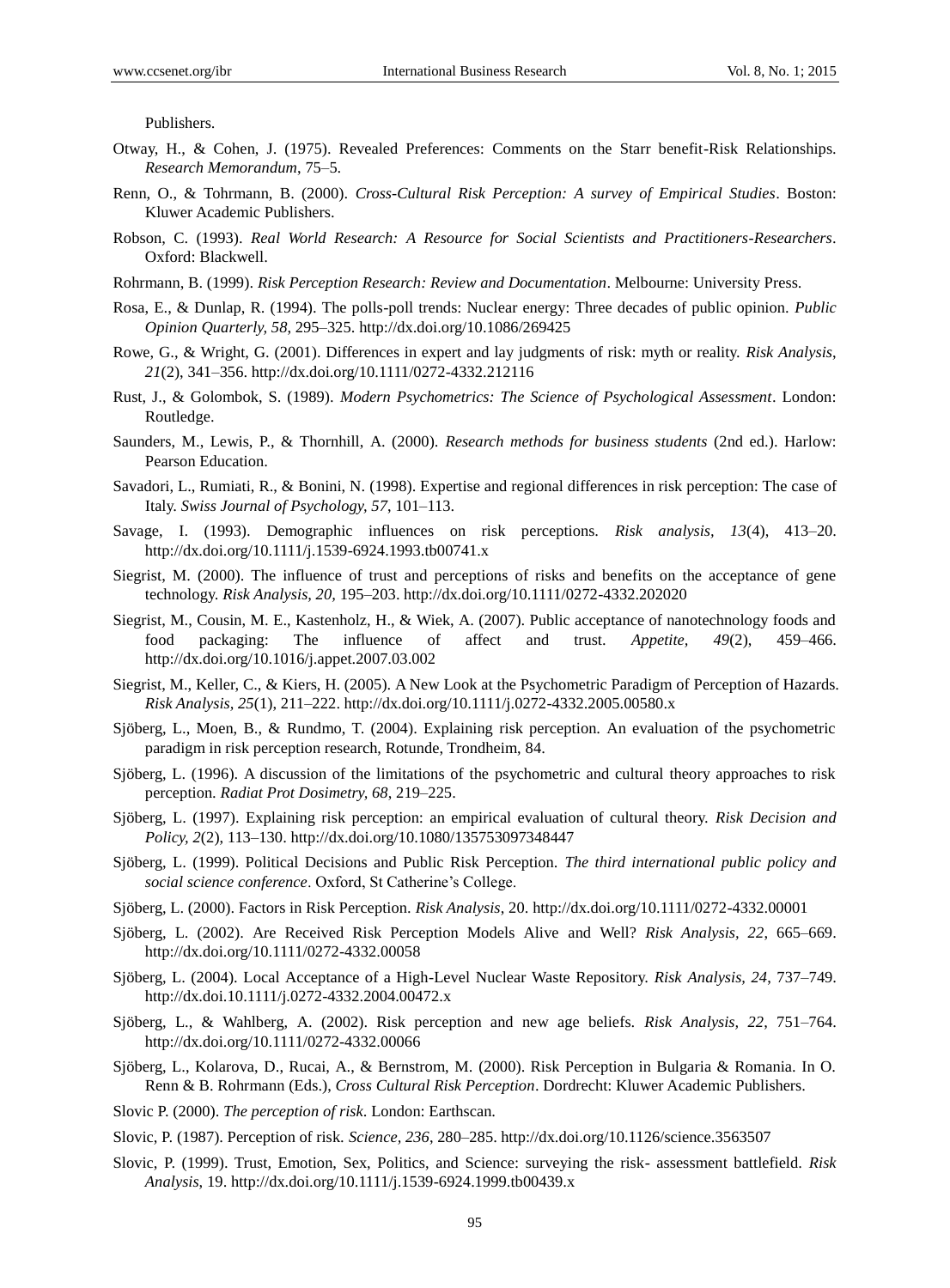Publishers.

- Otway, H., & Cohen, J. (1975). Revealed Preferences: Comments on the Starr benefit-Risk Relationships. *Research Memorandum*, 75–5.
- Renn, O., & Tohrmann, B. (2000). *Cross-Cultural Risk Perception: A survey of Empirical Studies*. Boston: Kluwer Academic Publishers.
- Robson, C. (1993). *Real World Research: A Resource for Social Scientists and Practitioners-Researchers*. Oxford: Blackwell.
- Rohrmann, B. (1999). *Risk Perception Research: Review and Documentation*. Melbourne: University Press.
- Rosa, E., & Dunlap, R. (1994). The polls-poll trends: Nuclear energy: Three decades of public opinion. *Public Opinion Quarterly, 58*, 295–325. http://dx.doi.org/10.1086/269425
- Rowe, G., & Wright, G. (2001). Differences in expert and lay judgments of risk: myth or reality. *Risk Analysis*, *21*(2), 341–356. http://dx.doi.org/10.1111/0272-4332.212116
- Rust, J., & Golombok, S. (1989). *Modern Psychometrics: The Science of Psychological Assessment*. London: Routledge.
- Saunders, M., Lewis, P., & Thornhill, A. (2000). *Research methods for business students* (2nd ed.). Harlow: Pearson Education.
- Savadori, L., Rumiati, R., & Bonini, N. (1998). Expertise and regional differences in risk perception: The case of Italy. *Swiss Journal of Psychology, 57*, 101–113.
- Savage, I. (1993). Demographic influences on risk perceptions. *Risk analysis, 13*(4), 413–20. http://dx.doi.org/10.1111/j.1539-6924.1993.tb00741.x
- Siegrist, M. (2000). The influence of trust and perceptions of risks and benefits on the acceptance of gene technology. *Risk Analysis, 20,* 195–203. http://dx.doi.org/10.1111/0272-4332.202020
- Siegrist, M., Cousin, M. E., Kastenholz, H., & Wiek, A. (2007). Public acceptance of nanotechnology foods and food packaging: The influence of affect and trust. *Appetite, 49*(2), 459–466. http://dx.doi.org/10.1016/j.appet.2007.03.002
- Siegrist, M., Keller, C., & Kiers, H. (2005). A New Look at the Psychometric Paradigm of Perception of Hazards. *Risk Analysis, 25*(1), 211–222. http://dx.doi.org/10.1111/j.0272-4332.2005.00580.x
- Sjöberg, L., Moen, B., & Rundmo, T. (2004). Explaining risk perception. An evaluation of the psychometric paradigm in risk perception research, Rotunde, Trondheim, 84.
- Sjöberg, L. (1996). A discussion of the limitations of the psychometric and cultural theory approaches to risk perception. *Radiat Prot Dosimetry, 68*, 219–225.
- Sjöberg, L. (1997). Explaining risk perception: an empirical evaluation of cultural theory. *Risk Decision and Policy, 2*(2), 113–130. http://dx.doi.org/10.1080/135753097348447
- Sjöberg, L. (1999). Political Decisions and Public Risk Perception. *The third international public policy and social science conference*. Oxford, St Catherine's College.
- Sjöberg, L. (2000). Factors in Risk Perception. *Risk Analysis*, 20. http://dx.doi.org/10.1111/0272-4332.00001
- Sjöberg, L. (2002). Are Received Risk Perception Models Alive and Well? *Risk Analysis, 22*, 665–669. http://dx.doi.org/10.1111/0272-4332.00058
- Sjöberg, L. (2004). Local Acceptance of a High-Level Nuclear Waste Repository. *Risk Analysis, 24*, 737–749. http://dx.doi.10.1111/j.0272-4332.2004.00472.x
- Sjöberg, L., & Wahlberg, A. (2002). Risk perception and new age beliefs. *Risk Analysis, 22*, 751–764. http://dx.doi.org/10.1111/0272-4332.00066
- Sjöberg, L., Kolarova, D., Rucai, A., & Bernstrom, M. (2000). Risk Perception in Bulgaria & Romania. In O. Renn & B. Rohrmann (Eds.), *Cross Cultural Risk Perception*. Dordrecht: Kluwer Academic Publishers.
- Slovic P. (2000). *The perception of risk*. London: Earthscan.
- Slovic, P. (1987). Perception of risk. *Science, 236*, 280–285. http://dx.doi.org/10.1126/science.3563507
- Slovic, P. (1999). Trust, Emotion, Sex, Politics, and Science: surveying the risk- assessment battlefield. *Risk Analysis*, 19. http://dx.doi.org/10.1111/j.1539-6924.1999.tb00439.x